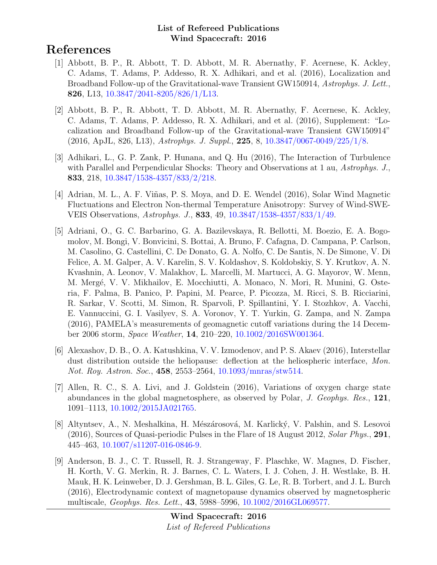# References

- [1] Abbott, B. P., R. Abbott, T. D. Abbott, M. R. Abernathy, F. Acernese, K. Ackley, C. Adams, T. Adams, P. Addesso, R. X. Adhikari, and et al. (2016), Localization and Broadband Follow-up of the Gravitational-wave Transient GW150914, Astrophys. J. Lett., 826, L13, [10.3847/2041-8205/826/1/L13.](http://dx.doi.org/10.3847/2041-8205/826/1/L13)
- [2] Abbott, B. P., R. Abbott, T. D. Abbott, M. R. Abernathy, F. Acernese, K. Ackley, C. Adams, T. Adams, P. Addesso, R. X. Adhikari, and et al. (2016), Supplement: "Localization and Broadband Follow-up of the Gravitational-wave Transient GW150914" (2016, ApJL, 826, L13), Astrophys. J. Suppl., 225, 8, [10.3847/0067-0049/225/1/8.](http://dx.doi.org/10.3847/0067-0049/225/1/8)
- [3] Adhikari, L., G. P. Zank, P. Hunana, and Q. Hu (2016), The Interaction of Turbulence with Parallel and Perpendicular Shocks: Theory and Observations at 1 au, Astrophys. J., 833, 218, [10.3847/1538-4357/833/2/218.](http://dx.doi.org/10.3847/1538-4357/833/2/218)
- [4] Adrian, M. L., A. F. Viñas, P. S. Moya, and D. E. Wendel (2016), Solar Wind Magnetic Fluctuations and Electron Non-thermal Temperature Anisotropy: Survey of Wind-SWE-VEIS Observations, Astrophys. J., 833, 49, [10.3847/1538-4357/833/1/49.](http://dx.doi.org/10.3847/1538-4357/833/1/49)
- [5] Adriani, O., G. C. Barbarino, G. A. Bazilevskaya, R. Bellotti, M. Boezio, E. A. Bogomolov, M. Bongi, V. Bonvicini, S. Bottai, A. Bruno, F. Cafagna, D. Campana, P. Carlson, M. Casolino, G. Castellini, C. De Donato, G. A. Nolfo, C. De Santis, N. De Simone, V. Di Felice, A. M. Galper, A. V. Karelin, S. V. Koldashov, S. Koldobskiy, S. Y. Krutkov, A. N. Kvashnin, A. Leonov, V. Malakhov, L. Marcelli, M. Martucci, A. G. Mayorov, W. Menn, M. Mergé, V. V. Mikhailov, E. Mocchiutti, A. Monaco, N. Mori, R. Munini, G. Osteria, F. Palma, B. Panico, P. Papini, M. Pearce, P. Picozza, M. Ricci, S. B. Ricciarini, R. Sarkar, V. Scotti, M. Simon, R. Sparvoli, P. Spillantini, Y. I. Stozhkov, A. Vacchi, E. Vannuccini, G. I. Vasilyev, S. A. Voronov, Y. T. Yurkin, G. Zampa, and N. Zampa (2016), PAMELA's measurements of geomagnetic cutoff variations during the 14 December 2006 storm, Space Weather, 14, 210–220, [10.1002/2016SW001364.](http://dx.doi.org/10.1002/2016SW001364)
- [6] Alexashov, D. B., O. A. Katushkina, V. V. Izmodenov, and P. S. Akaev (2016), Interstellar dust distribution outside the heliopause: deflection at the heliospheric interface, Mon. Not. Roy. Astron. Soc., 458, 2553–2564, [10.1093/mnras/stw514.](http://dx.doi.org/10.1093/mnras/stw514)
- [7] Allen, R. C., S. A. Livi, and J. Goldstein (2016), Variations of oxygen charge state abundances in the global magnetosphere, as observed by Polar, J. Geophys. Res., 121, 1091–1113, [10.1002/2015JA021765.](http://dx.doi.org/10.1002/2015JA021765)
- [8] Altyntsev, A., N. Meshalkina, H. Mészárosová, M. Karlický, V. Palshin, and S. Lesovoi (2016), Sources of Quasi-periodic Pulses in the Flare of 18 August 2012, Solar Phys., 291, 445–463, [10.1007/s11207-016-0846-9.](http://dx.doi.org/10.1007/s11207-016-0846-9)
- [9] Anderson, B. J., C. T. Russell, R. J. Strangeway, F. Plaschke, W. Magnes, D. Fischer, H. Korth, V. G. Merkin, R. J. Barnes, C. L. Waters, I. J. Cohen, J. H. Westlake, B. H. Mauk, H. K. Leinweber, D. J. Gershman, B. L. Giles, G. Le, R. B. Torbert, and J. L. Burch (2016), Electrodynamic context of magnetopause dynamics observed by magnetospheric multiscale, Geophys. Res. Lett., 43, 5988–5996, [10.1002/2016GL069577.](http://dx.doi.org/10.1002/2016GL069577)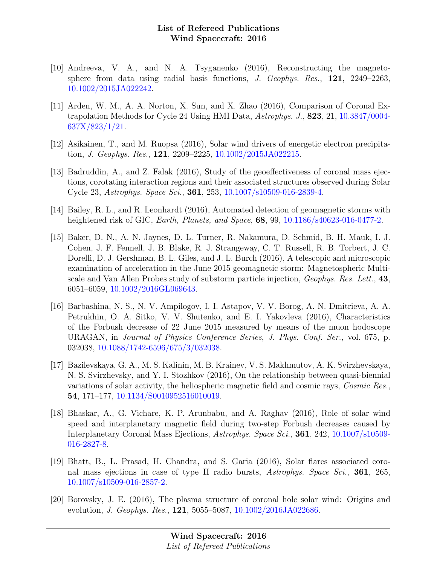- [10] Andreeva, V. A., and N. A. Tsyganenko (2016), Reconstructing the magnetosphere from data using radial basis functions, J. Geophys. Res., 121, 2249–2263, [10.1002/2015JA022242.](http://dx.doi.org/10.1002/2015JA022242)
- [11] Arden, W. M., A. A. Norton, X. Sun, and X. Zhao (2016), Comparison of Coronal Extrapolation Methods for Cycle 24 Using HMI Data, Astrophys. J., 823, 21, [10.3847/0004-](http://dx.doi.org/10.3847/0004-637X/823/1/21) [637X/823/1/21.](http://dx.doi.org/10.3847/0004-637X/823/1/21)
- [12] Asikainen, T., and M. Ruopsa (2016), Solar wind drivers of energetic electron precipitation, J. Geophys. Res., 121, 2209–2225, [10.1002/2015JA022215.](http://dx.doi.org/10.1002/2015JA022215)
- [13] Badruddin, A., and Z. Falak (2016), Study of the geoeffectiveness of coronal mass ejections, corotating interaction regions and their associated structures observed during Solar Cycle 23, Astrophys. Space Sci., 361, 253, [10.1007/s10509-016-2839-4.](http://dx.doi.org/10.1007/s10509-016-2839-4)
- [14] Bailey, R. L., and R. Leonhardt (2016), Automated detection of geomagnetic storms with heightened risk of GIC, *Earth, Planets, and Space*, **68**, 99, [10.1186/s40623-016-0477-2.](http://dx.doi.org/10.1186/s40623-016-0477-2)
- [15] Baker, D. N., A. N. Jaynes, D. L. Turner, R. Nakamura, D. Schmid, B. H. Mauk, I. J. Cohen, J. F. Fennell, J. B. Blake, R. J. Strangeway, C. T. Russell, R. B. Torbert, J. C. Dorelli, D. J. Gershman, B. L. Giles, and J. L. Burch (2016), A telescopic and microscopic examination of acceleration in the June 2015 geomagnetic storm: Magnetospheric Multiscale and Van Allen Probes study of substorm particle injection, Geophys. Res. Lett., 43, 6051–6059, [10.1002/2016GL069643.](http://dx.doi.org/10.1002/2016GL069643)
- [16] Barbashina, N. S., N. V. Ampilogov, I. I. Astapov, V. V. Borog, A. N. Dmitrieva, A. A. Petrukhin, O. A. Sitko, V. V. Shutenko, and E. I. Yakovleva (2016), Characteristics of the Forbush decrease of 22 June 2015 measured by means of the muon hodoscope URAGAN, in Journal of Physics Conference Series, J. Phys. Conf. Ser., vol. 675, p. 032038, [10.1088/1742-6596/675/3/032038.](http://dx.doi.org/10.1088/1742-6596/675/3/032038)
- [17] Bazilevskaya, G. A., M. S. Kalinin, M. B. Krainev, V. S. Makhmutov, A. K. Svirzhevskaya, N. S. Svirzhevsky, and Y. I. Stozhkov (2016), On the relationship between quasi-biennial variations of solar activity, the heliospheric magnetic field and cosmic rays, Cosmic Res., 54, 171–177, [10.1134/S0010952516010019.](http://dx.doi.org/10.1134/S0010952516010019)
- [18] Bhaskar, A., G. Vichare, K. P. Arunbabu, and A. Raghav (2016), Role of solar wind speed and interplanetary magnetic field during two-step Forbush decreases caused by Interplanetary Coronal Mass Ejections, Astrophys. Space Sci., 361, 242, [10.1007/s10509-](http://dx.doi.org/10.1007/s10509-016-2827-8) [016-2827-8.](http://dx.doi.org/10.1007/s10509-016-2827-8)
- [19] Bhatt, B., L. Prasad, H. Chandra, and S. Garia (2016), Solar flares associated coronal mass ejections in case of type II radio bursts, Astrophys. Space Sci., 361, 265. [10.1007/s10509-016-2857-2.](http://dx.doi.org/10.1007/s10509-016-2857-2)
- [20] Borovsky, J. E. (2016), The plasma structure of coronal hole solar wind: Origins and evolution, J. Geophys. Res., 121, 5055–5087, [10.1002/2016JA022686.](http://dx.doi.org/10.1002/2016JA022686)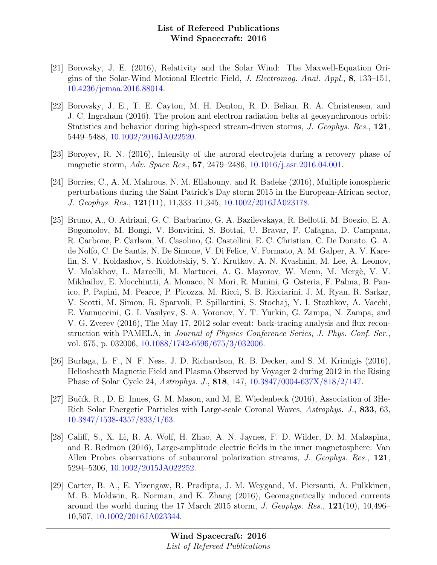- [21] Borovsky, J. E. (2016), Relativity and the Solar Wind: The Maxwell-Equation Origins of the Solar-Wind Motional Electric Field, J. Electromag. Anal. Appl., 8, 133–151, [10.4236/jemaa.2016.88014.](http://dx.doi.org/10.4236/jemaa.2016.88014)
- [22] Borovsky, J. E., T. E. Cayton, M. H. Denton, R. D. Belian, R. A. Christensen, and J. C. Ingraham (2016), The proton and electron radiation belts at geosynchronous orbit: Statistics and behavior during high-speed stream-driven storms, J. Geophys. Res., 121, 5449–5488, [10.1002/2016JA022520.](http://dx.doi.org/10.1002/2016JA022520)
- [23] Boroyev, R. N. (2016), Intensity of the auroral electrojets during a recovery phase of magnetic storm, Adv. Space Res., 57, 2479–2486, [10.1016/j.asr.2016.04.001.](http://dx.doi.org/10.1016/j.asr.2016.04.001)
- [24] Borries, C., A. M. Mahrous, N. M. Ellahouny, and R. Badeke (2016), Multiple ionospheric perturbations during the Saint Patrick's Day storm 2015 in the European-African sector, J. Geophys. Res., 121(11), 11,333–11,345, [10.1002/2016JA023178.](http://dx.doi.org/10.1002/2016JA023178)
- [25] Bruno, A., O. Adriani, G. C. Barbarino, G. A. Bazilevskaya, R. Bellotti, M. Boezio, E. A. Bogomolov, M. Bongi, V. Bonvicini, S. Bottai, U. Bravar, F. Cafagna, D. Campana, R. Carbone, P. Carlson, M. Casolino, G. Castellini, E. C. Christian, C. De Donato, G. A. de Nolfo, C. De Santis, N. De Simone, V. Di Felice, V. Formato, A. M. Galper, A. V. Karelin, S. V. Koldashov, S. Koldobskiy, S. Y. Krutkov, A. N. Kvashnin, M. Lee, A. Leonov, V. Malakhov, L. Marcelli, M. Martucci, A. G. Mayorov, W. Menn, M. Mergè, V. V. Mikhailov, E. Mocchiutti, A. Monaco, N. Mori, R. Munini, G. Osteria, F. Palma, B. Panico, P. Papini, M. Pearce, P. Picozza, M. Ricci, S. B. Ricciarini, J. M. Ryan, R. Sarkar, V. Scotti, M. Simon, R. Sparvoli, P. Spillantini, S. Stochaj, Y. I. Stozhkov, A. Vacchi, E. Vannuccini, G. I. Vasilyev, S. A. Voronov, Y. T. Yurkin, G. Zampa, N. Zampa, and V. G. Zverev (2016), The May 17, 2012 solar event: back-tracing analysis and flux reconstruction with PAMELA, in Journal of Physics Conference Series, J. Phys. Conf. Ser., vol. 675, p. 032006, [10.1088/1742-6596/675/3/032006.](http://dx.doi.org/10.1088/1742-6596/675/3/032006)
- [26] Burlaga, L. F., N. F. Ness, J. D. Richardson, R. B. Decker, and S. M. Krimigis (2016), Heliosheath Magnetic Field and Plasma Observed by Voyager 2 during 2012 in the Rising Phase of Solar Cycle 24, Astrophys. J., 818, 147, [10.3847/0004-637X/818/2/147.](http://dx.doi.org/10.3847/0004-637X/818/2/147)
- [27] Bučík, R., D. E. Innes, G. M. Mason, and M. E. Wiedenbeck (2016), Association of 3He-Rich Solar Energetic Particles with Large-scale Coronal Waves, Astrophys. J., 833, 63, [10.3847/1538-4357/833/1/63.](http://dx.doi.org/10.3847/1538-4357/833/1/63)
- [28] Califf, S., X. Li, R. A. Wolf, H. Zhao, A. N. Jaynes, F. D. Wilder, D. M. Malaspina, and R. Redmon (2016), Large-amplitude electric fields in the inner magnetosphere: Van Allen Probes observations of subauroral polarization streams, J. Geophys. Res., 121, 5294–5306, [10.1002/2015JA022252.](http://dx.doi.org/10.1002/2015JA022252)
- [29] Carter, B. A., E. Yizengaw, R. Pradipta, J. M. Weygand, M. Piersanti, A. Pulkkinen, M. B. Moldwin, R. Norman, and K. Zhang (2016), Geomagnetically induced currents around the world during the 17 March 2015 storm, J. Geophys. Res.,  $121(10)$ ,  $10,496-$ 10,507, [10.1002/2016JA023344.](http://dx.doi.org/10.1002/2016JA023344)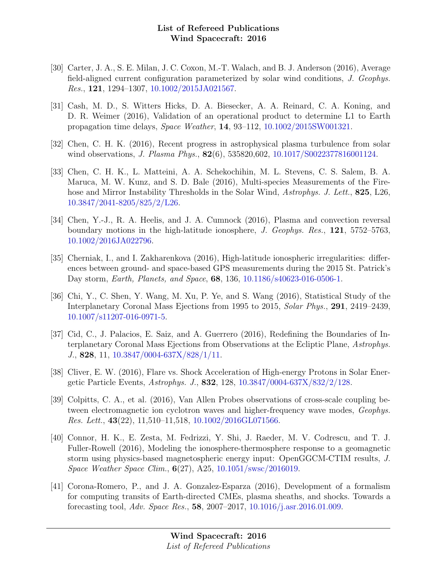- [30] Carter, J. A., S. E. Milan, J. C. Coxon, M.-T. Walach, and B. J. Anderson (2016), Average field-aligned current configuration parameterized by solar wind conditions, J. Geophys. Res., 121, 1294–1307, [10.1002/2015JA021567.](http://dx.doi.org/10.1002/2015JA021567)
- [31] Cash, M. D., S. Witters Hicks, D. A. Biesecker, A. A. Reinard, C. A. Koning, and D. R. Weimer (2016), Validation of an operational product to determine L1 to Earth propagation time delays, Space Weather, 14, 93–112, [10.1002/2015SW001321.](http://dx.doi.org/10.1002/2015SW001321)
- [32] Chen, C. H. K. (2016), Recent progress in astrophysical plasma turbulence from solar wind observations, *J. Plasma Phys.*, **82**(6), 535820,602, [10.1017/S0022377816001124.](http://dx.doi.org/10.1017/S0022377816001124)
- [33] Chen, C. H. K., L. Matteini, A. A. Schekochihin, M. L. Stevens, C. S. Salem, B. A. Maruca, M. W. Kunz, and S. D. Bale (2016), Multi-species Measurements of the Firehose and Mirror Instability Thresholds in the Solar Wind, Astrophys. J. Lett., 825, L26, [10.3847/2041-8205/825/2/L26.](http://dx.doi.org/10.3847/2041-8205/825/2/L26)
- [34] Chen, Y.-J., R. A. Heelis, and J. A. Cumnock (2016), Plasma and convection reversal boundary motions in the high-latitude ionosphere, J. Geophys. Res., 121, 5752–5763, [10.1002/2016JA022796.](http://dx.doi.org/10.1002/2016JA022796)
- [35] Cherniak, I., and I. Zakharenkova (2016), High-latitude ionospheric irregularities: differences between ground- and space-based GPS measurements during the 2015 St. Patrick's Day storm, Earth, Planets, and Space, 68, 136, [10.1186/s40623-016-0506-1.](http://dx.doi.org/10.1186/s40623-016-0506-1)
- [36] Chi, Y., C. Shen, Y. Wang, M. Xu, P. Ye, and S. Wang (2016), Statistical Study of the Interplanetary Coronal Mass Ejections from 1995 to 2015, Solar Phys., 291, 2419–2439, [10.1007/s11207-016-0971-5.](http://dx.doi.org/10.1007/s11207-016-0971-5)
- [37] Cid, C., J. Palacios, E. Saiz, and A. Guerrero (2016), Redefining the Boundaries of Interplanetary Coronal Mass Ejections from Observations at the Ecliptic Plane, Astrophys. J., 828, 11, [10.3847/0004-637X/828/1/11.](http://dx.doi.org/10.3847/0004-637X/828/1/11)
- [38] Cliver, E. W. (2016), Flare vs. Shock Acceleration of High-energy Protons in Solar Energetic Particle Events, Astrophys. J., 832, 128, [10.3847/0004-637X/832/2/128.](http://dx.doi.org/10.3847/0004-637X/832/2/128)
- [39] Colpitts, C. A., et al. (2016), Van Allen Probes observations of cross-scale coupling between electromagnetic ion cyclotron waves and higher-frequency wave modes, Geophys. Res. Lett.,  $43(22)$ ,  $11,510-11,518$ ,  $10.1002/2016$ GL071566.
- [40] Connor, H. K., E. Zesta, M. Fedrizzi, Y. Shi, J. Raeder, M. V. Codrescu, and T. J. Fuller-Rowell (2016), Modeling the ionosphere-thermosphere response to a geomagnetic storm using physics-based magnetospheric energy input: OpenGGCM-CTIM results, J. Space Weather Space Clim., 6(27), A25, [10.1051/swsc/2016019.](http://dx.doi.org/10.1051/swsc/2016019)
- [41] Corona-Romero, P., and J. A. Gonzalez-Esparza (2016), Development of a formalism for computing transits of Earth-directed CMEs, plasma sheaths, and shocks. Towards a forecasting tool, Adv. Space Res., 58, 2007–2017, [10.1016/j.asr.2016.01.009.](http://dx.doi.org/10.1016/j.asr.2016.01.009)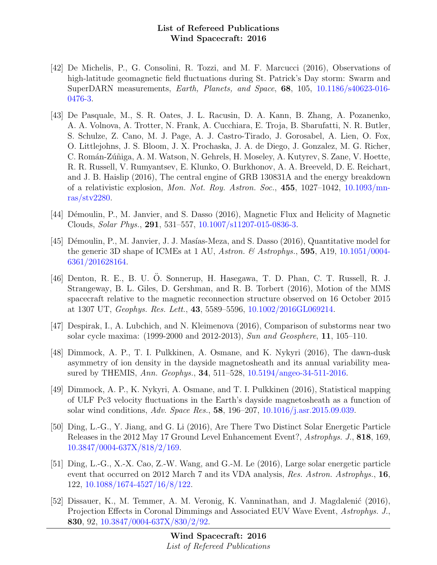- [42] De Michelis, P., G. Consolini, R. Tozzi, and M. F. Marcucci (2016), Observations of high-latitude geomagnetic field fluctuations during St. Patrick's Day storm: Swarm and SuperDARN measurements, Earth, Planets, and Space, 68, 105, [10.1186/s40623-016-](http://dx.doi.org/10.1186/s40623-016-0476-3) [0476-3.](http://dx.doi.org/10.1186/s40623-016-0476-3)
- [43] De Pasquale, M., S. R. Oates, J. L. Racusin, D. A. Kann, B. Zhang, A. Pozanenko, A. A. Volnova, A. Trotter, N. Frank, A. Cucchiara, E. Troja, B. Sbarufatti, N. R. Butler, S. Schulze, Z. Cano, M. J. Page, A. J. Castro-Tirado, J. Gorosabel, A. Lien, O. Fox, O. Littlejohns, J. S. Bloom, J. X. Prochaska, J. A. de Diego, J. Gonzalez, M. G. Richer, C. Román-Zúñiga, A. M. Watson, N. Gehrels, H. Moseley, A. Kutyrev, S. Zane, V. Hoette, R. R. Russell, V. Rumyantsev, E. Klunko, O. Burkhonov, A. A. Breeveld, D. E. Reichart, and J. B. Haislip (2016), The central engine of GRB 130831A and the energy breakdown of a relativistic explosion, Mon. Not. Roy. Astron. Soc., 455, 1027–1042, [10.1093/mn](http://dx.doi.org/10.1093/mnras/stv2280)[ras/stv2280.](http://dx.doi.org/10.1093/mnras/stv2280)
- [44] Démoulin, P., M. Janvier, and S. Dasso (2016), Magnetic Flux and Helicity of Magnetic Clouds, Solar Phys., 291, 531–557, [10.1007/s11207-015-0836-3.](http://dx.doi.org/10.1007/s11207-015-0836-3)
- [45] Démoulin, P., M. Janvier, J. J. Masías-Meza, and S. Dasso (2016), Quantitative model for the generic 3D shape of ICMEs at 1 AU, Astron. & Astrophys., 595, A19, [10.1051/0004-](http://dx.doi.org/10.1051/0004-6361/201628164) [6361/201628164.](http://dx.doi.org/10.1051/0004-6361/201628164)
- [46] Denton, R. E., B. U. O. Sonnerup, H. Hasegawa, T. D. Phan, C. T. Russell, R. J. ¨ Strangeway, B. L. Giles, D. Gershman, and R. B. Torbert (2016), Motion of the MMS spacecraft relative to the magnetic reconnection structure observed on 16 October 2015 at 1307 UT, Geophys. Res. Lett., 43, 5589–5596, [10.1002/2016GL069214.](http://dx.doi.org/10.1002/2016GL069214)
- [47] Despirak, I., A. Lubchich, and N. Kleimenova (2016), Comparison of substorms near two solar cycle maxima: (1999-2000 and 2012-2013), Sun and Geosphere, 11, 105–110.
- [48] Dimmock, A. P., T. I. Pulkkinen, A. Osmane, and K. Nykyri (2016), The dawn-dusk asymmetry of ion density in the dayside magnetosheath and its annual variability measured by THEMIS, Ann. Geophys., 34, 511–528, [10.5194/angeo-34-511-2016.](http://dx.doi.org/10.5194/angeo-34-511-2016)
- [49] Dimmock, A. P., K. Nykyri, A. Osmane, and T. I. Pulkkinen (2016), Statistical mapping of ULF Pc3 velocity fluctuations in the Earth's dayside magnetosheath as a function of solar wind conditions, Adv. Space Res., 58, 196–207, [10.1016/j.asr.2015.09.039.](http://dx.doi.org/10.1016/j.asr.2015.09.039)
- [50] Ding, L.-G., Y. Jiang, and G. Li (2016), Are There Two Distinct Solar Energetic Particle Releases in the 2012 May 17 Ground Level Enhancement Event?, Astrophys. J., 818, 169, [10.3847/0004-637X/818/2/169.](http://dx.doi.org/10.3847/0004-637X/818/2/169)
- [51] Ding, L.-G., X.-X. Cao, Z.-W. Wang, and G.-M. Le (2016), Large solar energetic particle event that occurred on 2012 March 7 and its VDA analysis, Res. Astron. Astrophys., 16, 122, [10.1088/1674-4527/16/8/122.](http://dx.doi.org/10.1088/1674-4527/16/8/122)
- [52] Dissauer, K., M. Temmer, A. M. Veronig, K. Vanninathan, and J. Magdalenić (2016), Projection Effects in Coronal Dimmings and Associated EUV Wave Event, Astrophys. J., 830, 92, [10.3847/0004-637X/830/2/92.](http://dx.doi.org/10.3847/0004-637X/830/2/92)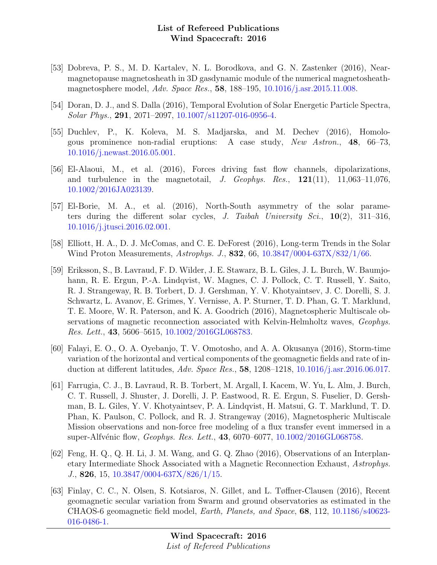- [53] Dobreva, P. S., M. D. Kartalev, N. L. Borodkova, and G. N. Zastenker (2016), Nearmagnetopause magnetosheath in 3D gasdynamic module of the numerical magnetosheathmagnetosphere model, Adv. Space Res., 58, 188–195, [10.1016/j.asr.2015.11.008.](http://dx.doi.org/10.1016/j.asr.2015.11.008)
- [54] Doran, D. J., and S. Dalla (2016), Temporal Evolution of Solar Energetic Particle Spectra, Solar Phys., 291, 2071–2097, [10.1007/s11207-016-0956-4.](http://dx.doi.org/10.1007/s11207-016-0956-4)
- [55] Duchlev, P., K. Koleva, M. S. Madjarska, and M. Dechev (2016), Homologous prominence non-radial eruptions: A case study, New Astron., 48, 66–73, [10.1016/j.newast.2016.05.001.](http://dx.doi.org/10.1016/j.newast.2016.05.001)
- [56] El-Alaoui, M., et al. (2016), Forces driving fast flow channels, dipolarizations, and turbulence in the magnetotail, J. Geophys. Res.,  $121(11)$ ,  $11,063-11,076$ , [10.1002/2016JA023139.](http://dx.doi.org/10.1002/2016JA023139)
- [57] El-Borie, M. A., et al. (2016), North-South asymmetry of the solar parameters during the different solar cycles, J. Taibah University Sci.,  $10(2)$ , 311–316, [10.1016/j.jtusci.2016.02.001.](http://dx.doi.org/10.1016/j.jtusci.2016.02.001)
- [58] Elliott, H. A., D. J. McComas, and C. E. DeForest (2016), Long-term Trends in the Solar Wind Proton Measurements, Astrophys. J., 832, 66, [10.3847/0004-637X/832/1/66.](http://dx.doi.org/10.3847/0004-637X/832/1/66)
- [59] Eriksson, S., B. Lavraud, F. D. Wilder, J. E. Stawarz, B. L. Giles, J. L. Burch, W. Baumjohann, R. E. Ergun, P.-A. Lindqvist, W. Magnes, C. J. Pollock, C. T. Russell, Y. Saito, R. J. Strangeway, R. B. Torbert, D. J. Gershman, Y. V. Khotyaintsev, J. C. Dorelli, S. J. Schwartz, L. Avanov, E. Grimes, Y. Vernisse, A. P. Sturner, T. D. Phan, G. T. Marklund, T. E. Moore, W. R. Paterson, and K. A. Goodrich (2016), Magnetospheric Multiscale observations of magnetic reconnection associated with Kelvin-Helmholtz waves, Geophys. Res. Lett., 43, 5606–5615, [10.1002/2016GL068783.](http://dx.doi.org/10.1002/2016GL068783)
- [60] Falayi, E. O., O. A. Oyebanjo, T. V. Omotosho, and A. A. Okusanya (2016), Storm-time variation of the horizontal and vertical components of the geomagnetic fields and rate of induction at different latitudes, Adv. Space Res., 58, 1208–1218, [10.1016/j.asr.2016.06.017.](http://dx.doi.org/10.1016/j.asr.2016.06.017)
- [61] Farrugia, C. J., B. Lavraud, R. B. Torbert, M. Argall, I. Kacem, W. Yu, L. Alm, J. Burch, C. T. Russell, J. Shuster, J. Dorelli, J. P. Eastwood, R. E. Ergun, S. Fuselier, D. Gershman, B. L. Giles, Y. V. Khotyaintsev, P. A. Lindqvist, H. Matsui, G. T. Marklund, T. D. Phan, K. Paulson, C. Pollock, and R. J. Strangeway (2016), Magnetospheric Multiscale Mission observations and non-force free modeling of a flux transfer event immersed in a super-Alfvénic flow, *Geophys. Res. Lett.*, **43**, 6070–6077,  $10.1002/2016$ GL068758.
- [62] Feng, H. Q., Q. H. Li, J. M. Wang, and G. Q. Zhao (2016), Observations of an Interplanetary Intermediate Shock Associated with a Magnetic Reconnection Exhaust, Astrophys. J., 826, 15, [10.3847/0004-637X/826/1/15.](http://dx.doi.org/10.3847/0004-637X/826/1/15)
- [63] Finlay, C. C., N. Olsen, S. Kotsiaros, N. Gillet, and L. Tøffner-Clausen (2016), Recent geomagnetic secular variation from Swarm and ground observatories as estimated in the CHAOS-6 geomagnetic field model, Earth, Planets, and Space, 68, 112, [10.1186/s40623-](http://dx.doi.org/10.1186/s40623-016-0486-1) [016-0486-1.](http://dx.doi.org/10.1186/s40623-016-0486-1)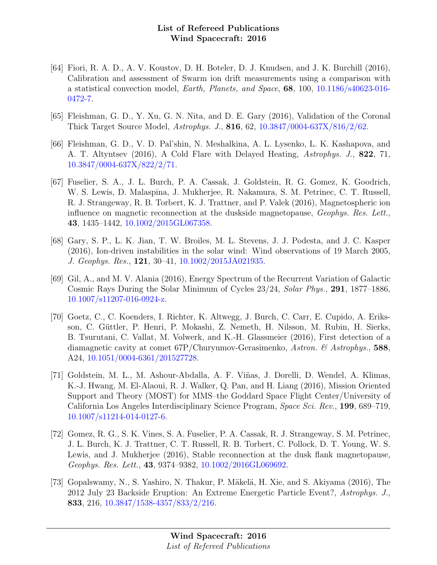- [64] Fiori, R. A. D., A. V. Koustov, D. H. Boteler, D. J. Knudsen, and J. K. Burchill (2016), Calibration and assessment of Swarm ion drift measurements using a comparison with a statistical convection model, Earth, Planets, and Space, 68, 100, [10.1186/s40623-016-](http://dx.doi.org/10.1186/s40623-016-0472-7) [0472-7.](http://dx.doi.org/10.1186/s40623-016-0472-7)
- [65] Fleishman, G. D., Y. Xu, G. N. Nita, and D. E. Gary (2016), Validation of the Coronal Thick Target Source Model, Astrophys. J., 816, 62, [10.3847/0004-637X/816/2/62.](http://dx.doi.org/10.3847/0004-637X/816/2/62)
- [66] Fleishman, G. D., V. D. Pal'shin, N. Meshalkina, A. L. Lysenko, L. K. Kashapova, and A. T. Altyntsev (2016), A Cold Flare with Delayed Heating, Astrophys. J., 822, 71, [10.3847/0004-637X/822/2/71.](http://dx.doi.org/10.3847/0004-637X/822/2/71)
- [67] Fuselier, S. A., J. L. Burch, P. A. Cassak, J. Goldstein, R. G. Gomez, K. Goodrich, W. S. Lewis, D. Malaspina, J. Mukherjee, R. Nakamura, S. M. Petrinec, C. T. Russell, R. J. Strangeway, R. B. Torbert, K. J. Trattner, and P. Valek (2016), Magnetospheric ion influence on magnetic reconnection at the duskside magnetopause, Geophys. Res. Lett., 43, 1435–1442, [10.1002/2015GL067358.](http://dx.doi.org/10.1002/2015GL067358)
- [68] Gary, S. P., L. K. Jian, T. W. Broiles, M. L. Stevens, J. J. Podesta, and J. C. Kasper (2016), Ion-driven instabilities in the solar wind: Wind observations of 19 March 2005, J. Geophys. Res., 121, 30–41, [10.1002/2015JA021935.](http://dx.doi.org/10.1002/2015JA021935)
- [69] Gil, A., and M. V. Alania (2016), Energy Spectrum of the Recurrent Variation of Galactic Cosmic Rays During the Solar Minimum of Cycles 23/24, Solar Phys., 291, 1877–1886, [10.1007/s11207-016-0924-z.](http://dx.doi.org/10.1007/s11207-016-0924-z)
- [70] Goetz, C., C. Koenders, I. Richter, K. Altwegg, J. Burch, C. Carr, E. Cupido, A. Eriksson, C. Güttler, P. Henri, P. Mokashi, Z. Nemeth, H. Nilsson, M. Rubin, H. Sierks, B. Tsurutani, C. Vallat, M. Volwerk, and K.-H. Glassmeier (2016), First detection of a diamagnetic cavity at comet 67P/Churyumov-Gerasimenko, Astron. & Astrophys., 588, A24, [10.1051/0004-6361/201527728.](http://dx.doi.org/10.1051/0004-6361/201527728)
- [71] Goldstein, M. L., M. Ashour-Abdalla, A. F. Vi˜nas, J. Dorelli, D. Wendel, A. Klimas, K.-J. Hwang, M. El-Alaoui, R. J. Walker, Q. Pan, and H. Liang (2016), Mission Oriented Support and Theory (MOST) for MMS–the Goddard Space Flight Center/University of California Los Angeles Interdisciplinary Science Program, Space Sci. Rev., 199, 689–719, [10.1007/s11214-014-0127-6.](http://dx.doi.org/10.1007/s11214-014-0127-6)
- [72] Gomez, R. G., S. K. Vines, S. A. Fuselier, P. A. Cassak, R. J. Strangeway, S. M. Petrinec, J. L. Burch, K. J. Trattner, C. T. Russell, R. B. Torbert, C. Pollock, D. T. Young, W. S. Lewis, and J. Mukherjee (2016), Stable reconnection at the dusk flank magnetopause, Geophys. Res. Lett., 43, 9374–9382, [10.1002/2016GL069692.](http://dx.doi.org/10.1002/2016GL069692)
- [73] Gopalswamy, N., S. Yashiro, N. Thakur, P. Mäkelä, H. Xie, and S. Akiyama (2016), The 2012 July 23 Backside Eruption: An Extreme Energetic Particle Event?, Astrophys. J., 833, 216, [10.3847/1538-4357/833/2/216.](http://dx.doi.org/10.3847/1538-4357/833/2/216)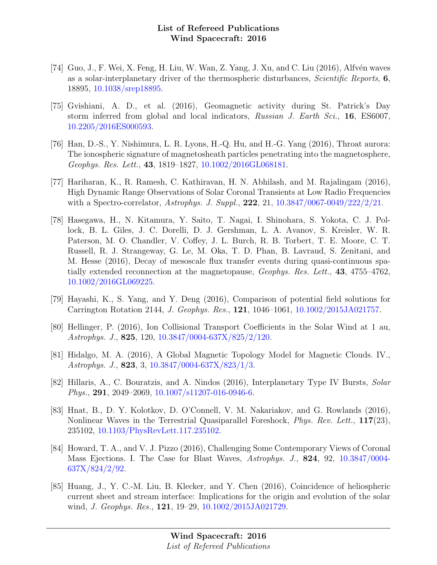- [74] Guo, J., F. Wei, X. Feng, H. Liu, W. Wan, Z. Yang, J. Xu, and C. Liu  $(2016)$ , Alfvén waves as a solar-interplanetary driver of the thermospheric disturbances, Scientific Reports, 6, 18895, [10.1038/srep18895.](http://dx.doi.org/10.1038/srep18895)
- [75] Gvishiani, A. D., et al. (2016), Geomagnetic activity during St. Patrick's Day storm inferred from global and local indicators, Russian J. Earth Sci., 16, ES6007, [10.2205/2016ES000593.](http://dx.doi.org/10.2205/2016ES000593)
- [76] Han, D.-S., Y. Nishimura, L. R. Lyons, H.-Q. Hu, and H.-G. Yang (2016), Throat aurora: The ionospheric signature of magnetosheath particles penetrating into the magnetosphere, Geophys. Res. Lett., 43, 1819–1827, [10.1002/2016GL068181.](http://dx.doi.org/10.1002/2016GL068181)
- [77] Hariharan, K., R. Ramesh, C. Kathiravan, H. N. Abhilash, and M. Rajalingam (2016), High Dynamic Range Observations of Solar Coronal Transients at Low Radio Frequencies with a Spectro-correlator, Astrophys. J. Suppl., **222**, 21, [10.3847/0067-0049/222/2/21.](http://dx.doi.org/10.3847/0067-0049/222/2/21)
- [78] Hasegawa, H., N. Kitamura, Y. Saito, T. Nagai, I. Shinohara, S. Yokota, C. J. Pollock, B. L. Giles, J. C. Dorelli, D. J. Gershman, L. A. Avanov, S. Kreisler, W. R. Paterson, M. O. Chandler, V. Coffey, J. L. Burch, R. B. Torbert, T. E. Moore, C. T. Russell, R. J. Strangeway, G. Le, M. Oka, T. D. Phan, B. Lavraud, S. Zenitani, and M. Hesse (2016), Decay of mesoscale flux transfer events during quasi-continuous spatially extended reconnection at the magnetopause, Geophys. Res. Lett., 43, 4755–4762, [10.1002/2016GL069225.](http://dx.doi.org/10.1002/2016GL069225)
- [79] Hayashi, K., S. Yang, and Y. Deng (2016), Comparison of potential field solutions for Carrington Rotation 2144, J. Geophys. Res., 121, 1046–1061, [10.1002/2015JA021757.](http://dx.doi.org/10.1002/2015JA021757)
- [80] Hellinger, P. (2016), Ion Collisional Transport Coefficients in the Solar Wind at 1 au, Astrophys. J., 825, 120, [10.3847/0004-637X/825/2/120.](http://dx.doi.org/10.3847/0004-637X/825/2/120)
- [81] Hidalgo, M. A. (2016), A Global Magnetic Topology Model for Magnetic Clouds. IV., Astrophys. J., 823, 3, [10.3847/0004-637X/823/1/3.](http://dx.doi.org/10.3847/0004-637X/823/1/3)
- [82] Hillaris, A., C. Bouratzis, and A. Nindos (2016), Interplanetary Type IV Bursts, Solar Phys., 291, 2049–2069, [10.1007/s11207-016-0946-6.](http://dx.doi.org/10.1007/s11207-016-0946-6)
- [83] Hnat, B., D. Y. Kolotkov, D. O'Connell, V. M. Nakariakov, and G. Rowlands (2016), Nonlinear Waves in the Terrestrial Quasiparallel Foreshock, Phys. Rev. Lett., 117(23), 235102, [10.1103/PhysRevLett.117.235102.](http://dx.doi.org/10.1103/PhysRevLett.117.235102)
- [84] Howard, T. A., and V. J. Pizzo (2016), Challenging Some Contemporary Views of Coronal Mass Ejections. I. The Case for Blast Waves, Astrophys. J., 824, 92, [10.3847/0004-](http://dx.doi.org/10.3847/0004-637X/824/2/92) [637X/824/2/92.](http://dx.doi.org/10.3847/0004-637X/824/2/92)
- [85] Huang, J., Y. C.-M. Liu, B. Klecker, and Y. Chen (2016), Coincidence of heliospheric current sheet and stream interface: Implications for the origin and evolution of the solar wind, *J. Geophys. Res.*, **121**, 19-29, [10.1002/2015JA021729.](http://dx.doi.org/10.1002/2015JA021729)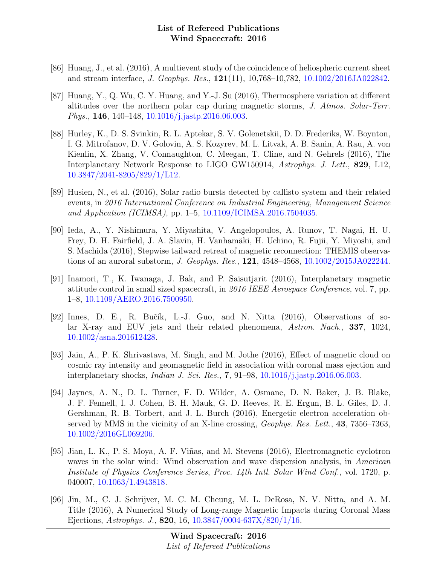- [86] Huang, J., et al. (2016), A multievent study of the coincidence of heliospheric current sheet and stream interface, J. Geophys. Res., 121(11), 10,768–10,782, [10.1002/2016JA022842.](http://dx.doi.org/10.1002/2016JA022842)
- [87] Huang, Y., Q. Wu, C. Y. Huang, and Y.-J. Su (2016), Thermosphere variation at different altitudes over the northern polar cap during magnetic storms, J. Atmos. Solar-Terr. Phys., 146, 140–148, [10.1016/j.jastp.2016.06.003.](http://dx.doi.org/10.1016/j.jastp.2016.06.003)
- [88] Hurley, K., D. S. Svinkin, R. L. Aptekar, S. V. Golenetskii, D. D. Frederiks, W. Boynton, I. G. Mitrofanov, D. V. Golovin, A. S. Kozyrev, M. L. Litvak, A. B. Sanin, A. Rau, A. von Kienlin, X. Zhang, V. Connaughton, C. Meegan, T. Cline, and N. Gehrels (2016), The Interplanetary Network Response to LIGO GW150914, Astrophys. J. Lett., 829, L12, [10.3847/2041-8205/829/1/L12.](http://dx.doi.org/10.3847/2041-8205/829/1/L12)
- [89] Husien, N., et al. (2016), Solar radio bursts detected by callisto system and their related events, in 2016 International Conference on Industrial Engineering, Management Science and Application (ICIMSA), pp. 1–5, [10.1109/ICIMSA.2016.7504035.](http://dx.doi.org/10.1109/ICIMSA.2016.7504035)
- [90] Ieda, A., Y. Nishimura, Y. Miyashita, V. Angelopoulos, A. Runov, T. Nagai, H. U. Frey, D. H. Fairfield, J. A. Slavin, H. Vanhamäki, H. Uchino, R. Fujii, Y. Miyoshi, and S. Machida (2016), Stepwise tailward retreat of magnetic reconnection: THEMIS observations of an auroral substorm, J. Geophys. Res., 121, 4548–4568, [10.1002/2015JA022244.](http://dx.doi.org/10.1002/2015JA022244)
- [91] Inamori, T., K. Iwanaga, J. Bak, and P. Saisutjarit (2016), Interplanetary magnetic attitude control in small sized spacecraft, in 2016 IEEE Aerospace Conference, vol. 7, pp. 1–8, [10.1109/AERO.2016.7500950.](http://dx.doi.org/10.1109/AERO.2016.7500950)
- [92] Innes, D. E., R. Bučík, L.-J. Guo, and N. Nitta  $(2016)$ , Observations of solar X-ray and EUV jets and their related phenomena, Astron. Nach., 337, 1024, [10.1002/asna.201612428.](http://dx.doi.org/10.1002/asna.201612428)
- [93] Jain, A., P. K. Shrivastava, M. Singh, and M. Jothe (2016), Effect of magnetic cloud on cosmic ray intensity and geomagnetic field in association with coronal mass ejection and interplanetary shocks, Indian J. Sci. Res., 7, 91–98, [10.1016/j.jastp.2016.06.003.](http://dx.doi.org/10.1016/j.jastp.2016.06.003)
- [94] Jaynes, A. N., D. L. Turner, F. D. Wilder, A. Osmane, D. N. Baker, J. B. Blake, J. F. Fennell, I. J. Cohen, B. H. Mauk, G. D. Reeves, R. E. Ergun, B. L. Giles, D. J. Gershman, R. B. Torbert, and J. L. Burch (2016), Energetic electron acceleration observed by MMS in the vicinity of an X-line crossing, Geophys. Res. Lett., 43, 7356–7363, [10.1002/2016GL069206.](http://dx.doi.org/10.1002/2016GL069206)
- [95] Jian, L. K., P. S. Moya, A. F. Viñas, and M. Stevens (2016), Electromagnetic cyclotron waves in the solar wind: Wind observation and wave dispersion analysis, in American Institute of Physics Conference Series, Proc. 14th Intl. Solar Wind Conf., vol. 1720, p. 040007, [10.1063/1.4943818.](http://dx.doi.org/10.1063/1.4943818)
- [96] Jin, M., C. J. Schrijver, M. C. M. Cheung, M. L. DeRosa, N. V. Nitta, and A. M. Title (2016), A Numerical Study of Long-range Magnetic Impacts during Coronal Mass Ejections, Astrophys. J., 820, 16, [10.3847/0004-637X/820/1/16.](http://dx.doi.org/10.3847/0004-637X/820/1/16)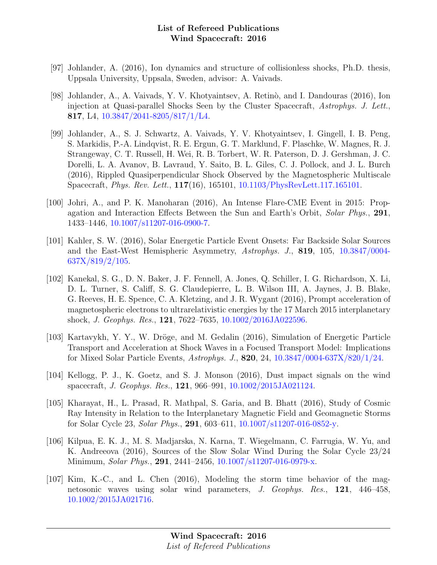- [97] Johlander, A. (2016), Ion dynamics and structure of collisionless shocks, Ph.D. thesis, Uppsala University, Uppsala, Sweden, advisor: A. Vaivads.
- [98] Johlander, A., A. Vaivads, Y. V. Khotyaintsev, A. Retinò, and I. Dandouras (2016), Ion injection at Quasi-parallel Shocks Seen by the Cluster Spacecraft, Astrophys. J. Lett., 817, L4, [10.3847/2041-8205/817/1/L4.](http://dx.doi.org/10.3847/2041-8205/817/1/L4)
- [99] Johlander, A., S. J. Schwartz, A. Vaivads, Y. V. Khotyaintsev, I. Gingell, I. B. Peng, S. Markidis, P.-A. Lindqvist, R. E. Ergun, G. T. Marklund, F. Plaschke, W. Magnes, R. J. Strangeway, C. T. Russell, H. Wei, R. B. Torbert, W. R. Paterson, D. J. Gershman, J. C. Dorelli, L. A. Avanov, B. Lavraud, Y. Saito, B. L. Giles, C. J. Pollock, and J. L. Burch (2016), Rippled Quasiperpendicular Shock Observed by the Magnetospheric Multiscale Spacecraft, Phys. Rev. Lett., 117(16), 165101, [10.1103/PhysRevLett.117.165101.](http://dx.doi.org/10.1103/PhysRevLett.117.165101)
- [100] Johri, A., and P. K. Manoharan (2016), An Intense Flare-CME Event in 2015: Propagation and Interaction Effects Between the Sun and Earth's Orbit, Solar Phys., 291, 1433–1446, [10.1007/s11207-016-0900-7.](http://dx.doi.org/10.1007/s11207-016-0900-7)
- [101] Kahler, S. W. (2016), Solar Energetic Particle Event Onsets: Far Backside Solar Sources and the East-West Hemispheric Asymmetry, Astrophys. J., 819, 105, [10.3847/0004-](http://dx.doi.org/10.3847/0004-637X/819/2/105) [637X/819/2/105.](http://dx.doi.org/10.3847/0004-637X/819/2/105)
- [102] Kanekal, S. G., D. N. Baker, J. F. Fennell, A. Jones, Q. Schiller, I. G. Richardson, X. Li, D. L. Turner, S. Califf, S. G. Claudepierre, L. B. Wilson III, A. Jaynes, J. B. Blake, G. Reeves, H. E. Spence, C. A. Kletzing, and J. R. Wygant (2016), Prompt acceleration of magnetospheric electrons to ultrarelativistic energies by the 17 March 2015 interplanetary shock, J. Geophys. Res., 121, 7622–7635, [10.1002/2016JA022596.](http://dx.doi.org/10.1002/2016JA022596)
- [103] Kartavykh, Y. Y., W. Dröge, and M. Gedalin (2016), Simulation of Energetic Particle Transport and Acceleration at Shock Waves in a Focused Transport Model: Implications for Mixed Solar Particle Events, Astrophys. J., 820, 24, [10.3847/0004-637X/820/1/24.](http://dx.doi.org/10.3847/0004-637X/820/1/24)
- [104] Kellogg, P. J., K. Goetz, and S. J. Monson (2016), Dust impact signals on the wind spacecraft, J. Geophys. Res., 121, 966–991, [10.1002/2015JA021124.](http://dx.doi.org/10.1002/2015JA021124)
- [105] Kharayat, H., L. Prasad, R. Mathpal, S. Garia, and B. Bhatt (2016), Study of Cosmic Ray Intensity in Relation to the Interplanetary Magnetic Field and Geomagnetic Storms for Solar Cycle 23, Solar Phys., 291, 603–611, [10.1007/s11207-016-0852-y.](http://dx.doi.org/10.1007/s11207-016-0852-y)
- [106] Kilpua, E. K. J., M. S. Madjarska, N. Karna, T. Wiegelmann, C. Farrugia, W. Yu, and K. Andreeova (2016), Sources of the Slow Solar Wind During the Solar Cycle 23/24 Minimum, Solar Phys., 291, 2441–2456, [10.1007/s11207-016-0979-x.](http://dx.doi.org/10.1007/s11207-016-0979-x)
- [107] Kim, K.-C., and L. Chen (2016), Modeling the storm time behavior of the magnetosonic waves using solar wind parameters, J. Geophys. Res., 121, 446–458, [10.1002/2015JA021716.](http://dx.doi.org/10.1002/2015JA021716)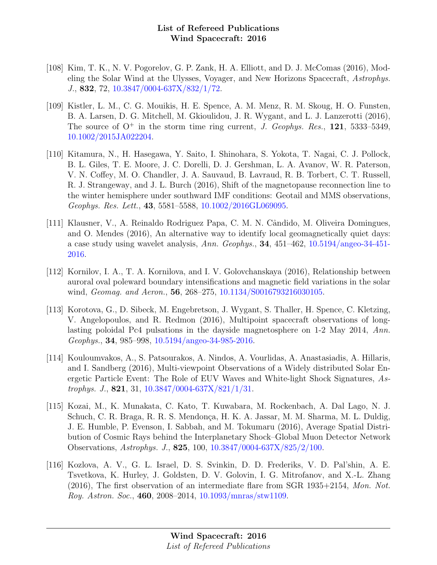- [108] Kim, T. K., N. V. Pogorelov, G. P. Zank, H. A. Elliott, and D. J. McComas (2016), Modeling the Solar Wind at the Ulysses, Voyager, and New Horizons Spacecraft, Astrophys. J., 832, 72, [10.3847/0004-637X/832/1/72.](http://dx.doi.org/10.3847/0004-637X/832/1/72)
- [109] Kistler, L. M., C. G. Mouikis, H. E. Spence, A. M. Menz, R. M. Skoug, H. O. Funsten, B. A. Larsen, D. G. Mitchell, M. Gkioulidou, J. R. Wygant, and L. J. Lanzerotti (2016), The source of  $O^+$  in the storm time ring current, J. Geophys. Res., 121, 5333-5349, [10.1002/2015JA022204.](http://dx.doi.org/10.1002/2015JA022204)
- [110] Kitamura, N., H. Hasegawa, Y. Saito, I. Shinohara, S. Yokota, T. Nagai, C. J. Pollock, B. L. Giles, T. E. Moore, J. C. Dorelli, D. J. Gershman, L. A. Avanov, W. R. Paterson, V. N. Coffey, M. O. Chandler, J. A. Sauvaud, B. Lavraud, R. B. Torbert, C. T. Russell, R. J. Strangeway, and J. L. Burch (2016), Shift of the magnetopause reconnection line to the winter hemisphere under southward IMF conditions: Geotail and MMS observations, Geophys. Res. Lett., 43, 5581–5588, [10.1002/2016GL069095.](http://dx.doi.org/10.1002/2016GL069095)
- [111] Klausner, V., A. Reinaldo Rodriguez Papa, C. M. N. Cândido, M. Oliveira Domingues, and O. Mendes (2016), An alternative way to identify local geomagnetically quiet days: a case study using wavelet analysis,  $Ann. Geophys.$ ,  $34, 451-462, 10.5194/angeo-34-451 34, 451-462, 10.5194/angeo-34-451-$ [2016.](http://dx.doi.org/10.5194/angeo-34-451-2016)
- [112] Kornilov, I. A., T. A. Kornilova, and I. V. Golovchanskaya (2016), Relationship between auroral oval poleward boundary intensifications and magnetic field variations in the solar wind, *Geomag. and Aeron.*, **56**, 268–275, [10.1134/S0016793216030105.](http://dx.doi.org/10.1134/S0016793216030105)
- [113] Korotova, G., D. Sibeck, M. Engebretson, J. Wygant, S. Thaller, H. Spence, C. Kletzing, V. Angelopoulos, and R. Redmon (2016), Multipoint spacecraft observations of longlasting poloidal Pc4 pulsations in the dayside magnetosphere on 1-2 May 2014, Ann. Geophys., 34, 985–998, [10.5194/angeo-34-985-2016.](http://dx.doi.org/10.5194/angeo-34-985-2016)
- [114] Kouloumvakos, A., S. Patsourakos, A. Nindos, A. Vourlidas, A. Anastasiadis, A. Hillaris, and I. Sandberg (2016), Multi-viewpoint Observations of a Widely distributed Solar Energetic Particle Event: The Role of EUV Waves and White-light Shock Signatures, Astrophys. J., 821, 31,  $10.3847/0004-637X/821/1/31$ .
- [115] Kozai, M., K. Munakata, C. Kato, T. Kuwabara, M. Rockenbach, A. Dal Lago, N. J. Schuch, C. R. Braga, R. R. S. Mendonça, H. K. A. Jassar, M. M. Sharma, M. L. Duldig, J. E. Humble, P. Evenson, I. Sabbah, and M. Tokumaru (2016), Average Spatial Distribution of Cosmic Rays behind the Interplanetary Shock–Global Muon Detector Network Observations, Astrophys. J., 825, 100, [10.3847/0004-637X/825/2/100.](http://dx.doi.org/10.3847/0004-637X/825/2/100)
- [116] Kozlova, A. V., G. L. Israel, D. S. Svinkin, D. D. Frederiks, V. D. Pal'shin, A. E. Tsvetkova, K. Hurley, J. Goldsten, D. V. Golovin, I. G. Mitrofanov, and X.-L. Zhang  $(2016)$ , The first observation of an intermediate flare from SGR 1935+2154, Mon. Not. Roy. Astron. Soc., 460, 2008–2014, [10.1093/mnras/stw1109.](http://dx.doi.org/10.1093/mnras/stw1109)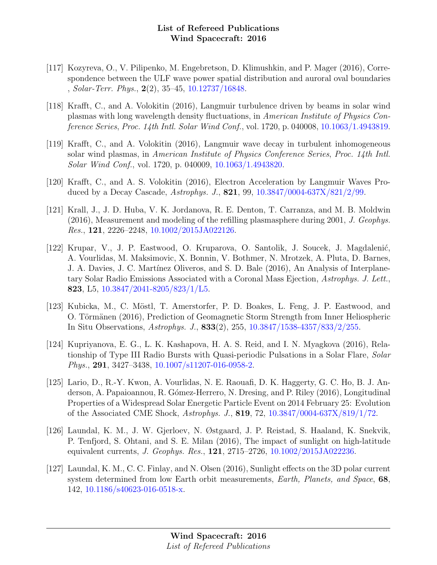- [117] Kozyreva, O., V. Pilipenko, M. Engebretson, D. Klimushkin, and P. Mager (2016), Correspondence between the ULF wave power spatial distribution and auroral oval boundaries , Solar-Terr. Phys., 2(2), 35–45, [10.12737/16848.](http://dx.doi.org/10.12737/16848)
- [118] Krafft, C., and A. Volokitin (2016), Langmuir turbulence driven by beams in solar wind plasmas with long wavelength density fluctuations, in American Institute of Physics Conference Series, Proc. 14th Intl. Solar Wind Conf., vol. 1720, p. 040008, [10.1063/1.4943819.](http://dx.doi.org/10.1063/1.4943819)
- [119] Krafft, C., and A. Volokitin (2016), Langmuir wave decay in turbulent inhomogeneous solar wind plasmas, in American Institute of Physics Conference Series, Proc. 14th Intl. Solar Wind Conf., vol. 1720, p. 040009, [10.1063/1.4943820.](http://dx.doi.org/10.1063/1.4943820)
- [120] Krafft, C., and A. S. Volokitin (2016), Electron Acceleration by Langmuir Waves Produced by a Decay Cascade, Astrophys. J., 821, 99, [10.3847/0004-637X/821/2/99.](http://dx.doi.org/10.3847/0004-637X/821/2/99)
- [121] Krall, J., J. D. Huba, V. K. Jordanova, R. E. Denton, T. Carranza, and M. B. Moldwin (2016), Measurement and modeling of the refilling plasmasphere during 2001, J. Geophys. Res., 121, 2226–2248, [10.1002/2015JA022126.](http://dx.doi.org/10.1002/2015JA022126)
- [122] Krupar, V., J. P. Eastwood, O. Kruparova, O. Santolik, J. Soucek, J. Magdalenić, A. Vourlidas, M. Maksimovic, X. Bonnin, V. Bothmer, N. Mrotzek, A. Pluta, D. Barnes, J. A. Davies, J. C. Martínez Oliveros, and S. D. Bale (2016), An Analysis of Interplanetary Solar Radio Emissions Associated with a Coronal Mass Ejection, Astrophys. J. Lett., 823, L5, [10.3847/2041-8205/823/1/L5.](http://dx.doi.org/10.3847/2041-8205/823/1/L5)
- [123] Kubicka, M., C. Möstl, T. Amerstorfer, P. D. Boakes, L. Feng, J. P. Eastwood, and O. Törmänen (2016), Prediction of Geomagnetic Storm Strength from Inner Heliospheric In Situ Observations, Astrophys. J., 833(2), 255, [10.3847/1538-4357/833/2/255.](http://dx.doi.org/10.3847/1538-4357/833/2/255)
- [124] Kupriyanova, E. G., L. K. Kashapova, H. A. S. Reid, and I. N. Myagkova (2016), Relationship of Type III Radio Bursts with Quasi-periodic Pulsations in a Solar Flare, Solar Phys., 291, 3427–3438, [10.1007/s11207-016-0958-2.](http://dx.doi.org/10.1007/s11207-016-0958-2)
- [125] Lario, D., R.-Y. Kwon, A. Vourlidas, N. E. Raouafi, D. K. Haggerty, G. C. Ho, B. J. Anderson, A. Papaioannou, R. Gómez-Herrero, N. Dresing, and P. Riley (2016), Longitudinal Properties of a Widespread Solar Energetic Particle Event on 2014 February 25: Evolution of the Associated CME Shock, Astrophys. J., 819, 72, [10.3847/0004-637X/819/1/72.](http://dx.doi.org/10.3847/0004-637X/819/1/72)
- [126] Laundal, K. M., J. W. Gjerloev, N. Østgaard, J. P. Reistad, S. Haaland, K. Snekvik, P. Tenfjord, S. Ohtani, and S. E. Milan (2016), The impact of sunlight on high-latitude equivalent currents, J. Geophys. Res., 121, 2715–2726, [10.1002/2015JA022236.](http://dx.doi.org/10.1002/2015JA022236)
- [127] Laundal, K. M., C. C. Finlay, and N. Olsen (2016), Sunlight effects on the 3D polar current system determined from low Earth orbit measurements, *Earth, Planets, and Space*, **68**, 142, [10.1186/s40623-016-0518-x.](http://dx.doi.org/10.1186/s40623-016-0518-x)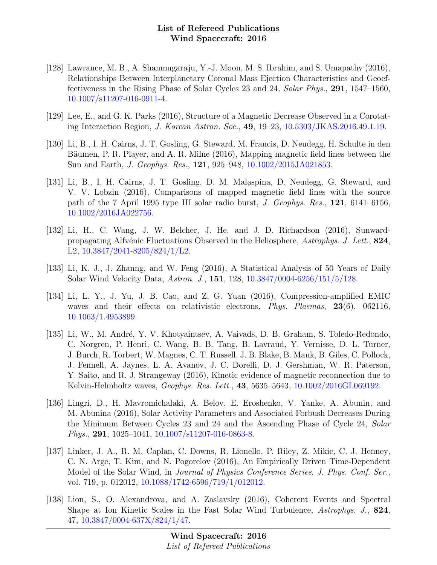- [128] Lawrance, M. B., A. Shanmugaraju, Y.-J. Moon, M. S. Ibrahim, and S. Umapathy (2016), Relationships Between Interplanetary Coronal Mass Ejection Characteristics and Geoeffectiveness in the Rising Phase of Solar Cycles 23 and 24, Solar Phys., 291, 1547–1560, [10.1007/s11207-016-0911-4.](http://dx.doi.org/10.1007/s11207-016-0911-4)
- [129] Lee, E., and G. K. Parks (2016), Structure of a Magnetic Decrease Observed in a Corotating Interaction Region, J. Korean Astron. Soc., 49, 19–23, [10.5303/JKAS.2016.49.1.19.](http://dx.doi.org/10.5303/JKAS.2016.49.1.19)
- [130] Li, B., I. H. Cairns, J. T. Gosling, G. Steward, M. Francis, D. Neudegg, H. Schulte in den Bäumen, P. R. Player, and A. R. Milne (2016), Mapping magnetic field lines between the Sun and Earth, J. Geophys. Res., 121, 925–948, [10.1002/2015JA021853.](http://dx.doi.org/10.1002/2015JA021853)
- [131] Li, B., I. H. Cairns, J. T. Gosling, D. M. Malaspina, D. Neudegg, G. Steward, and V. V. Lobzin (2016), Comparisons of mapped magnetic field lines with the source path of the 7 April 1995 type III solar radio burst, J. Geophys. Res., 121, 6141–6156, [10.1002/2016JA022756.](http://dx.doi.org/10.1002/2016JA022756)
- [132] Li, H., C. Wang, J. W. Belcher, J. He, and J. D. Richardson (2016), Sunwardpropagating Alfvénic Fluctuations Observed in the Heliosphere, Astrophys. J. Lett., 824, L2, [10.3847/2041-8205/824/1/L2.](http://dx.doi.org/10.3847/2041-8205/824/1/L2)
- [133] Li, K. J., J. Zhanng, and W. Feng (2016), A Statistical Analysis of 50 Years of Daily Solar Wind Velocity Data, Astron. J., 151, 128, [10.3847/0004-6256/151/5/128.](http://dx.doi.org/10.3847/0004-6256/151/5/128)
- [134] Li, L. Y., J. Yu, J. B. Cao, and Z. G. Yuan (2016), Compression-amplified EMIC waves and their effects on relativistic electrons, *Phys. Plasmas*, 23(6), 062116, [10.1063/1.4953899.](http://dx.doi.org/10.1063/1.4953899)
- [135] Li, W., M. André, Y. V. Khotyaintsev, A. Vaivads, D. B. Graham, S. Toledo-Redondo, C. Norgren, P. Henri, C. Wang, B. B. Tang, B. Lavraud, Y. Vernisse, D. L. Turner, J. Burch, R. Torbert, W. Magnes, C. T. Russell, J. B. Blake, B. Mauk, B. Giles, C. Pollock, J. Fennell, A. Jaynes, L. A. Avanov, J. C. Dorelli, D. J. Gershman, W. R. Paterson, Y. Saito, and R. J. Strangeway (2016), Kinetic evidence of magnetic reconnection due to Kelvin-Helmholtz waves, *Geophys. Res. Lett.*, **43**, 5635–5643, [10.1002/2016GL069192.](http://dx.doi.org/10.1002/2016GL069192)
- [136] Lingri, D., H. Mavromichalaki, A. Belov, E. Eroshenko, V. Yanke, A. Abunin, and M. Abunina (2016), Solar Activity Parameters and Associated Forbush Decreases During the Minimum Between Cycles 23 and 24 and the Ascending Phase of Cycle 24, Solar Phys., 291, 1025–1041, [10.1007/s11207-016-0863-8.](http://dx.doi.org/10.1007/s11207-016-0863-8)
- [137] Linker, J. A., R. M. Caplan, C. Downs, R. Lionello, P. Riley, Z. Mikic, C. J. Henney, C. N. Arge, T. Kim, and N. Pogorelov (2016), An Empirically Driven Time-Dependent Model of the Solar Wind, in Journal of Physics Conference Series, J. Phys. Conf. Ser., vol. 719, p. 012012, [10.1088/1742-6596/719/1/012012.](http://dx.doi.org/10.1088/1742-6596/719/1/012012)
- [138] Lion, S., O. Alexandrova, and A. Zaslavsky (2016), Coherent Events and Spectral Shape at Ion Kinetic Scales in the Fast Solar Wind Turbulence, Astrophys. J., 824, 47, [10.3847/0004-637X/824/1/47.](http://dx.doi.org/10.3847/0004-637X/824/1/47)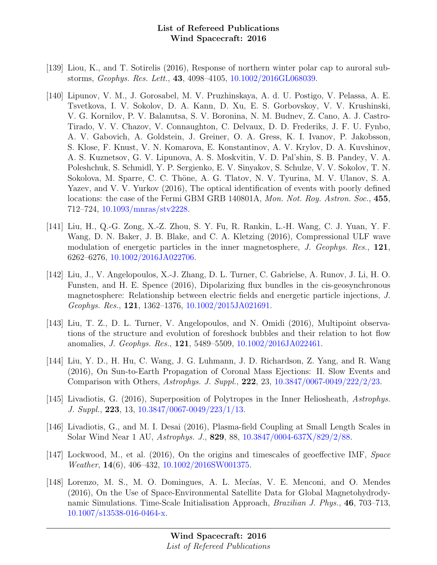- [139] Liou, K., and T. Sotirelis (2016), Response of northern winter polar cap to auroral substorms, Geophys. Res. Lett., 43, 4098–4105, [10.1002/2016GL068039.](http://dx.doi.org/10.1002/2016GL068039)
- [140] Lipunov, V. M., J. Gorosabel, M. V. Pruzhinskaya, A. d. U. Postigo, V. Pelassa, A. E. Tsvetkova, I. V. Sokolov, D. A. Kann, D. Xu, E. S. Gorbovskoy, V. V. Krushinski, V. G. Kornilov, P. V. Balanutsa, S. V. Boronina, N. M. Budnev, Z. Cano, A. J. Castro-Tirado, V. V. Chazov, V. Connaughton, C. Delvaux, D. D. Frederiks, J. F. U. Fynbo, A. V. Gabovich, A. Goldstein, J. Greiner, O. A. Gress, K. I. Ivanov, P. Jakobsson, S. Klose, F. Knust, V. N. Komarova, E. Konstantinov, A. V. Krylov, D. A. Kuvshinov, A. S. Kuznetsov, G. V. Lipunova, A. S. Moskvitin, V. D. Pal'shin, S. B. Pandey, V. A. Poleshchuk, S. Schmidl, Y. P. Sergienko, E. V. Sinyakov, S. Schulze, V. V. Sokolov, T. N. Sokolova, M. Sparre, C. C. Thöne, A. G. Tlatov, N. V. Tyurina, M. V. Ulanov, S. A. Yazev, and V. V. Yurkov (2016), The optical identification of events with poorly defined locations: the case of the Fermi GBM GRB 140801A, Mon. Not. Roy. Astron. Soc., 455, 712–724, [10.1093/mnras/stv2228.](http://dx.doi.org/10.1093/mnras/stv2228)
- [141] Liu, H., Q.-G. Zong, X.-Z. Zhou, S. Y. Fu, R. Rankin, L.-H. Wang, C. J. Yuan, Y. F. Wang, D. N. Baker, J. B. Blake, and C. A. Kletzing (2016), Compressional ULF wave modulation of energetic particles in the inner magnetosphere, J. Geophys. Res., 121, 6262–6276, [10.1002/2016JA022706.](http://dx.doi.org/10.1002/2016JA022706)
- [142] Liu, J., V. Angelopoulos, X.-J. Zhang, D. L. Turner, C. Gabrielse, A. Runov, J. Li, H. O. Funsten, and H. E. Spence (2016), Dipolarizing flux bundles in the cis-geosynchronous magnetosphere: Relationship between electric fields and energetic particle injections, J. Geophys. Res., 121, 1362–1376, [10.1002/2015JA021691.](http://dx.doi.org/10.1002/2015JA021691)
- [143] Liu, T. Z., D. L. Turner, V. Angelopoulos, and N. Omidi (2016), Multipoint observations of the structure and evolution of foreshock bubbles and their relation to hot flow anomalies, J. Geophys. Res., 121, 5489–5509, [10.1002/2016JA022461.](http://dx.doi.org/10.1002/2016JA022461)
- [144] Liu, Y. D., H. Hu, C. Wang, J. G. Luhmann, J. D. Richardson, Z. Yang, and R. Wang (2016), On Sun-to-Earth Propagation of Coronal Mass Ejections: II. Slow Events and Comparison with Others, Astrophys. J. Suppl., 222, 23, [10.3847/0067-0049/222/2/23.](http://dx.doi.org/10.3847/0067-0049/222/2/23)
- [145] Livadiotis, G. (2016), Superposition of Polytropes in the Inner Heliosheath, Astrophys. J. Suppl., 223, 13, [10.3847/0067-0049/223/1/13.](http://dx.doi.org/10.3847/0067-0049/223/1/13)
- [146] Livadiotis, G., and M. I. Desai (2016), Plasma-field Coupling at Small Length Scales in Solar Wind Near 1 AU, Astrophys. J., 829, 88, [10.3847/0004-637X/829/2/88.](http://dx.doi.org/10.3847/0004-637X/829/2/88)
- [147] Lockwood, M., et al. (2016), On the origins and timescales of geoeffective IMF, Space Weather, 14(6), 406–432, [10.1002/2016SW001375.](http://dx.doi.org/10.1002/2016SW001375)
- [148] Lorenzo, M. S., M. O. Domingues, A. L. Mecías, V. E. Menconi, and O. Mendes (2016), On the Use of Space-Environmental Satellite Data for Global Magnetohydrodynamic Simulations. Time-Scale Initialisation Approach, Brazilian J. Phys., 46, 703–713, [10.1007/s13538-016-0464-x.](http://dx.doi.org/10.1007/s13538-016-0464-x)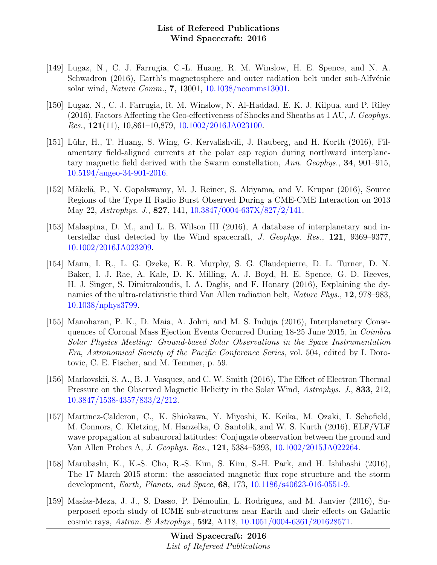- [149] Lugaz, N., C. J. Farrugia, C.-L. Huang, R. M. Winslow, H. E. Spence, and N. A. Schwadron (2016), Earth's magnetosphere and outer radiation belt under sub-Alfvénic solar wind, Nature Comm., 7, 13001, [10.1038/ncomms13001.](http://dx.doi.org/10.1038/ncomms13001)
- [150] Lugaz, N., C. J. Farrugia, R. M. Winslow, N. Al-Haddad, E. K. J. Kilpua, and P. Riley (2016), Factors Affecting the Geo-effectiveness of Shocks and Sheaths at 1 AU, J. Geophys. *Res.*, **121**(11), 10,861–10,879, [10.1002/2016JA023100.](http://dx.doi.org/10.1002/2016JA023100)
- [151] L¨uhr, H., T. Huang, S. Wing, G. Kervalishvili, J. Rauberg, and H. Korth (2016), Filamentary field-aligned currents at the polar cap region during northward interplanetary magnetic field derived with the Swarm constellation, Ann. Geophys., 34, 901–915, [10.5194/angeo-34-901-2016.](http://dx.doi.org/10.5194/angeo-34-901-2016)
- [152] Mäkelä, P., N. Gopalswamy, M. J. Reiner, S. Akiyama, and V. Krupar (2016), Source Regions of the Type II Radio Burst Observed During a CME-CME Interaction on 2013 May 22, Astrophys. J., 827, 141, [10.3847/0004-637X/827/2/141.](http://dx.doi.org/10.3847/0004-637X/827/2/141)
- [153] Malaspina, D. M., and L. B. Wilson III (2016), A database of interplanetary and interstellar dust detected by the Wind spacecraft, J. Geophys. Res., 121, 9369–9377, [10.1002/2016JA023209.](http://dx.doi.org/10.1002/2016JA023209)
- [154] Mann, I. R., L. G. Ozeke, K. R. Murphy, S. G. Claudepierre, D. L. Turner, D. N. Baker, I. J. Rae, A. Kale, D. K. Milling, A. J. Boyd, H. E. Spence, G. D. Reeves, H. J. Singer, S. Dimitrakoudis, I. A. Daglis, and F. Honary (2016), Explaining the dynamics of the ultra-relativistic third Van Allen radiation belt, Nature Phys., 12, 978–983, [10.1038/nphys3799.](http://dx.doi.org/10.1038/nphys3799)
- [155] Manoharan, P. K., D. Maia, A. Johri, and M. S. Induja (2016), Interplanetary Consequences of Coronal Mass Ejection Events Occurred During 18-25 June 2015, in Coimbra Solar Physics Meeting: Ground-based Solar Observations in the Space Instrumentation Era, Astronomical Society of the Pacific Conference Series, vol. 504, edited by I. Dorotovic, C. E. Fischer, and M. Temmer, p. 59.
- [156] Markovskii, S. A., B. J. Vasquez, and C. W. Smith (2016), The Effect of Electron Thermal Pressure on the Observed Magnetic Helicity in the Solar Wind, Astrophys. J., 833, 212, [10.3847/1538-4357/833/2/212.](http://dx.doi.org/10.3847/1538-4357/833/2/212)
- [157] Martinez-Calderon, C., K. Shiokawa, Y. Miyoshi, K. Keika, M. Ozaki, I. Schofield, M. Connors, C. Kletzing, M. Hanzelka, O. Santolik, and W. S. Kurth (2016), ELF/VLF wave propagation at subauroral latitudes: Conjugate observation between the ground and Van Allen Probes A, J. Geophys. Res., 121, 5384–5393, [10.1002/2015JA022264.](http://dx.doi.org/10.1002/2015JA022264)
- [158] Marubashi, K., K.-S. Cho, R.-S. Kim, S. Kim, S.-H. Park, and H. Ishibashi (2016), The 17 March 2015 storm: the associated magnetic flux rope structure and the storm development, Earth, Planets, and Space, 68, 173, [10.1186/s40623-016-0551-9.](http://dx.doi.org/10.1186/s40623-016-0551-9)
- [159] Masías-Meza, J. J., S. Dasso, P. Démoulin, L. Rodriguez, and M. Janvier (2016), Superposed epoch study of ICME sub-structures near Earth and their effects on Galactic cosmic rays, Astron. & Astrophys., 592, A118, [10.1051/0004-6361/201628571.](http://dx.doi.org/10.1051/0004-6361/201628571)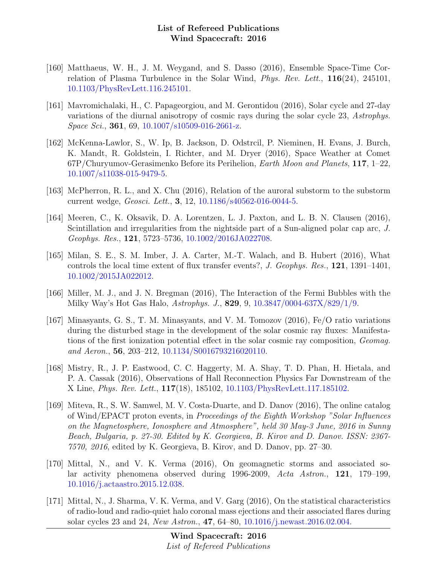- [160] Matthaeus, W. H., J. M. Weygand, and S. Dasso (2016), Ensemble Space-Time Correlation of Plasma Turbulence in the Solar Wind, Phys. Rev. Lett., 116(24), 245101, [10.1103/PhysRevLett.116.245101.](http://dx.doi.org/10.1103/PhysRevLett.116.245101)
- [161] Mavromichalaki, H., C. Papageorgiou, and M. Gerontidou (2016), Solar cycle and 27-day variations of the diurnal anisotropy of cosmic rays during the solar cycle 23, Astrophys. Space Sci., 361, 69, [10.1007/s10509-016-2661-z.](http://dx.doi.org/10.1007/s10509-016-2661-z)
- [162] McKenna-Lawlor, S., W. Ip, B. Jackson, D. Odstrcil, P. Nieminen, H. Evans, J. Burch, K. Mandt, R. Goldstein, I. Richter, and M. Dryer (2016), Space Weather at Comet  $67P/Churyumov-Gerasimenko Before its Perihelion, Earth Moon and Planets, 117, 1–22,$ [10.1007/s11038-015-9479-5.](http://dx.doi.org/10.1007/s11038-015-9479-5)
- [163] McPherron, R. L., and X. Chu (2016), Relation of the auroral substorm to the substorm current wedge, Geosci. Lett., 3, 12, [10.1186/s40562-016-0044-5.](http://dx.doi.org/10.1186/s40562-016-0044-5)
- [164] Meeren, C., K. Oksavik, D. A. Lorentzen, L. J. Paxton, and L. B. N. Clausen (2016), Scintillation and irregularities from the nightside part of a Sun-aligned polar cap arc, J. Geophys. Res., 121, 5723–5736, [10.1002/2016JA022708.](http://dx.doi.org/10.1002/2016JA022708)
- [165] Milan, S. E., S. M. Imber, J. A. Carter, M.-T. Walach, and B. Hubert (2016), What controls the local time extent of flux transfer events?, J. Geophys. Res., 121, 1391–1401, [10.1002/2015JA022012.](http://dx.doi.org/10.1002/2015JA022012)
- [166] Miller, M. J., and J. N. Bregman (2016), The Interaction of the Fermi Bubbles with the Milky Way's Hot Gas Halo, Astrophys. J., 829, 9, [10.3847/0004-637X/829/1/9.](http://dx.doi.org/10.3847/0004-637X/829/1/9)
- [167] Minasyants, G. S., T. M. Minasyants, and V. M. Tomozov (2016), Fe/O ratio variations during the disturbed stage in the development of the solar cosmic ray fluxes: Manifestations of the first ionization potential effect in the solar cosmic ray composition, Geomag. and Aeron., 56, 203–212, [10.1134/S0016793216020110.](http://dx.doi.org/10.1134/S0016793216020110)
- [168] Mistry, R., J. P. Eastwood, C. C. Haggerty, M. A. Shay, T. D. Phan, H. Hietala, and P. A. Cassak (2016), Observations of Hall Reconnection Physics Far Downstream of the X Line, Phys. Rev. Lett., 117(18), 185102, [10.1103/PhysRevLett.117.185102.](http://dx.doi.org/10.1103/PhysRevLett.117.185102)
- [169] Miteva, R., S. W. Samwel, M. V. Costa-Duarte, and D. Danov (2016), The online catalog of Wind/EPACT proton events, in Proceedings of the Eighth Workshop "Solar Influences on the Magnetosphere, Ionosphere and Atmosphere", held 30 May-3 June, 2016 in Sunny Beach, Bulgaria, p. 27-30. Edited by K. Georgieva, B. Kirov and D. Danov. ISSN: 2367- 7570, 2016, edited by K. Georgieva, B. Kirov, and D. Danov, pp. 27–30.
- [170] Mittal, N., and V. K. Verma (2016), On geomagnetic storms and associated solar activity phenomena observed during 1996-2009, Acta Astron., 121, 179–199, [10.1016/j.actaastro.2015.12.038.](http://dx.doi.org/10.1016/j.actaastro.2015.12.038)
- [171] Mittal, N., J. Sharma, V. K. Verma, and V. Garg (2016), On the statistical characteristics of radio-loud and radio-quiet halo coronal mass ejections and their associated flares during solar cycles 23 and 24, New Astron., 47, 64–80, [10.1016/j.newast.2016.02.004.](http://dx.doi.org/10.1016/j.newast.2016.02.004)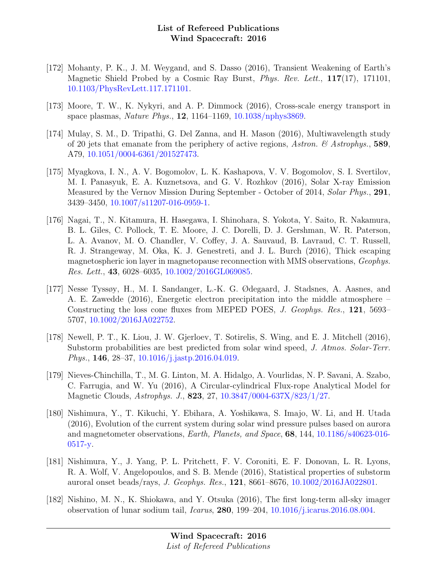- [172] Mohanty, P. K., J. M. Weygand, and S. Dasso (2016), Transient Weakening of Earth's Magnetic Shield Probed by a Cosmic Ray Burst, *Phys. Rev. Lett.*, **117**(17), 171101, [10.1103/PhysRevLett.117.171101.](http://dx.doi.org/10.1103/PhysRevLett.117.171101)
- [173] Moore, T. W., K. Nykyri, and A. P. Dimmock (2016), Cross-scale energy transport in space plasmas, Nature Phys., 12, 1164–1169, [10.1038/nphys3869.](http://dx.doi.org/10.1038/nphys3869)
- [174] Mulay, S. M., D. Tripathi, G. Del Zanna, and H. Mason (2016), Multiwavelength study of 20 jets that emanate from the periphery of active regions, Astron.  $\mathscr B$  Astrophys., 589, A79, [10.1051/0004-6361/201527473.](http://dx.doi.org/10.1051/0004-6361/201527473)
- [175] Myagkova, I. N., A. V. Bogomolov, L. K. Kashapova, V. V. Bogomolov, S. I. Svertilov, M. I. Panasyuk, E. A. Kuznetsova, and G. V. Rozhkov (2016), Solar X-ray Emission Measured by the Vernov Mission During September - October of 2014, Solar Phys., 291, 3439–3450, [10.1007/s11207-016-0959-1.](http://dx.doi.org/10.1007/s11207-016-0959-1)
- [176] Nagai, T., N. Kitamura, H. Hasegawa, I. Shinohara, S. Yokota, Y. Saito, R. Nakamura, B. L. Giles, C. Pollock, T. E. Moore, J. C. Dorelli, D. J. Gershman, W. R. Paterson, L. A. Avanov, M. O. Chandler, V. Coffey, J. A. Sauvaud, B. Lavraud, C. T. Russell, R. J. Strangeway, M. Oka, K. J. Genestreti, and J. L. Burch (2016), Thick escaping magnetospheric ion layer in magnetopause reconnection with MMS observations, Geophys. Res. Lett., 43, 6028–6035, [10.1002/2016GL069085.](http://dx.doi.org/10.1002/2016GL069085)
- [177] Nesse Tyssøy, H., M. I. Sandanger, L.-K. G. Ødegaard, J. Stadsnes, A. Aasnes, and A. E. Zawedde (2016), Energetic electron precipitation into the middle atmosphere – Constructing the loss cone fluxes from MEPED POES, J. Geophys. Res., 121, 5693– 5707, [10.1002/2016JA022752.](http://dx.doi.org/10.1002/2016JA022752)
- [178] Newell, P. T., K. Liou, J. W. Gjerloev, T. Sotirelis, S. Wing, and E. J. Mitchell (2016), Substorm probabilities are best predicted from solar wind speed, J. Atmos. Solar-Terr. Phys., 146, 28–37, [10.1016/j.jastp.2016.04.019.](http://dx.doi.org/10.1016/j.jastp.2016.04.019)
- [179] Nieves-Chinchilla, T., M. G. Linton, M. A. Hidalgo, A. Vourlidas, N. P. Savani, A. Szabo, C. Farrugia, and W. Yu (2016), A Circular-cylindrical Flux-rope Analytical Model for Magnetic Clouds, Astrophys. J., 823, 27, [10.3847/0004-637X/823/1/27.](http://dx.doi.org/10.3847/0004-637X/823/1/27)
- [180] Nishimura, Y., T. Kikuchi, Y. Ebihara, A. Yoshikawa, S. Imajo, W. Li, and H. Utada (2016), Evolution of the current system during solar wind pressure pulses based on aurora and magnetometer observations, Earth, Planets, and Space, 68, 144, [10.1186/s40623-016-](http://dx.doi.org/10.1186/s40623-016-0517-y) [0517-y.](http://dx.doi.org/10.1186/s40623-016-0517-y)
- [181] Nishimura, Y., J. Yang, P. L. Pritchett, F. V. Coroniti, E. F. Donovan, L. R. Lyons, R. A. Wolf, V. Angelopoulos, and S. B. Mende (2016), Statistical properties of substorm auroral onset beads/rays, J. Geophys. Res., 121, 8661–8676, [10.1002/2016JA022801.](http://dx.doi.org/10.1002/2016JA022801)
- [182] Nishino, M. N., K. Shiokawa, and Y. Otsuka (2016), The first long-term all-sky imager observation of lunar sodium tail, Icarus, 280, 199–204, [10.1016/j.icarus.2016.08.004.](http://dx.doi.org/10.1016/j.icarus.2016.08.004)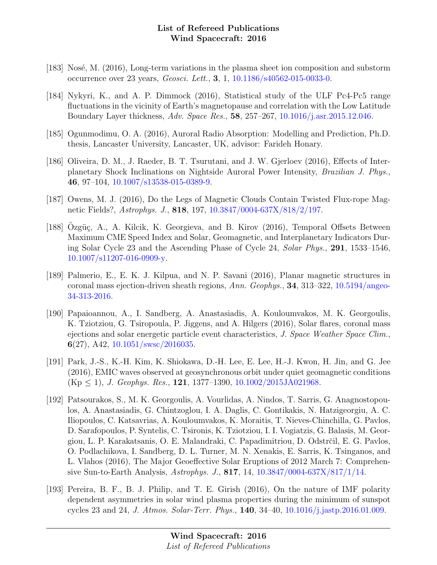- [183] Nosé, M. (2016), Long-term variations in the plasma sheet ion composition and substorm occurrence over 23 years, Geosci. Lett., 3, 1, [10.1186/s40562-015-0033-0.](http://dx.doi.org/10.1186/s40562-015-0033-0)
- [184] Nykyri, K., and A. P. Dimmock (2016), Statistical study of the ULF Pc4-Pc5 range fluctuations in the vicinity of Earth's magnetopause and correlation with the Low Latitude Boundary Layer thickness, Adv. Space Res., 58, 257–267, [10.1016/j.asr.2015.12.046.](http://dx.doi.org/10.1016/j.asr.2015.12.046)
- [185] Ogunmodimu, O. A. (2016), Auroral Radio Absorption: Modelling and Prediction, Ph.D. thesis, Lancaster University, Lancaster, UK, advisor: Farideh Honary.
- [186] Oliveira, D. M., J. Raeder, B. T. Tsurutani, and J. W. Gjerloev (2016), Effects of Interplanetary Shock Inclinations on Nightside Auroral Power Intensity, Brazilian J. Phys., 46, 97–104, [10.1007/s13538-015-0389-9.](http://dx.doi.org/10.1007/s13538-015-0389-9)
- [187] Owens, M. J. (2016), Do the Legs of Magnetic Clouds Contain Twisted Flux-rope Magnetic Fields?, Astrophys. J., 818, 197, [10.3847/0004-637X/818/2/197.](http://dx.doi.org/10.3847/0004-637X/818/2/197)
- [188] Ozgüç, A., A. Kilcik, K. Georgieva, and B. Kirov (2016), Temporal Offsets Between Maximum CME Speed Index and Solar, Geomagnetic, and Interplanetary Indicators During Solar Cycle 23 and the Ascending Phase of Cycle 24, Solar Phys., 291, 1533–1546, [10.1007/s11207-016-0909-y.](http://dx.doi.org/10.1007/s11207-016-0909-y)
- [189] Palmerio, E., E. K. J. Kilpua, and N. P. Savani (2016), Planar magnetic structures in coronal mass ejection-driven sheath regions, Ann. Geophys., 34, 313–322, [10.5194/angeo-](http://dx.doi.org/10.5194/angeo-34-313-2016)[34-313-2016.](http://dx.doi.org/10.5194/angeo-34-313-2016)
- [190] Papaioannou, A., I. Sandberg, A. Anastasiadis, A. Kouloumvakos, M. K. Georgoulis, K. Tziotziou, G. Tsiropoula, P. Jiggens, and A. Hilgers (2016), Solar flares, coronal mass ejections and solar energetic particle event characteristics, J. Space Weather Space Clim., 6(27), A42,  $10.1051/\text{swsc}/2016035$ .
- [191] Park, J.-S., K.-H. Kim, K. Shiokawa, D.-H. Lee, E. Lee, H.-J. Kwon, H. Jin, and G. Jee (2016), EMIC waves observed at geosynchronous orbit under quiet geomagnetic conditions  $(Kp \le 1)$ , J. Geophys. Res., 121, 1377–1390, [10.1002/2015JA021968.](http://dx.doi.org/10.1002/2015JA021968)
- [192] Patsourakos, S., M. K. Georgoulis, A. Vourlidas, A. Nindos, T. Sarris, G. Anagnostopoulos, A. Anastasiadis, G. Chintzoglou, I. A. Daglis, C. Gontikakis, N. Hatzigeorgiu, A. C. Iliopoulos, C. Katsavrias, A. Kouloumvakos, K. Moraitis, T. Nieves-Chinchilla, G. Pavlos, D. Sarafopoulos, P. Syntelis, C. Tsironis, K. Tziotziou, I. I. Vogiatzis, G. Balasis, M. Georgiou, L. P. Karakatsanis, O. E. Malandraki, C. Papadimitriou, D. Odstrčil, E. G. Pavlos, O. Podlachikova, I. Sandberg, D. L. Turner, M. N. Xenakis, E. Sarris, K. Tsinganos, and L. Vlahos (2016), The Major Geoeffective Solar Eruptions of 2012 March 7: Comprehensive Sun-to-Earth Analysis, Astrophys. J., 817, 14, [10.3847/0004-637X/817/1/14.](http://dx.doi.org/10.3847/0004-637X/817/1/14)
- [193] Pereira, B. F., B. J. Philip, and T. E. Girish (2016), On the nature of IMF polarity dependent asymmetries in solar wind plasma properties during the minimum of sunspot cycles 23 and 24, J. Atmos. Solar-Terr. Phys., 140, 34–40, [10.1016/j.jastp.2016.01.009.](http://dx.doi.org/10.1016/j.jastp.2016.01.009)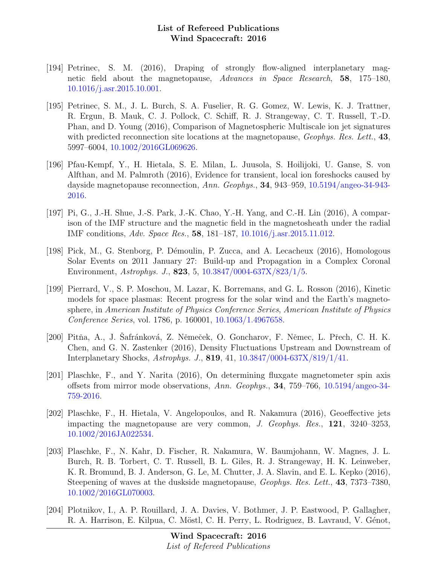- [194] Petrinec, S. M. (2016), Draping of strongly flow-aligned interplanetary magnetic field about the magnetopause, Advances in Space Research, 58, 175–180, [10.1016/j.asr.2015.10.001.](http://dx.doi.org/10.1016/j.asr.2015.10.001)
- [195] Petrinec, S. M., J. L. Burch, S. A. Fuselier, R. G. Gomez, W. Lewis, K. J. Trattner, R. Ergun, B. Mauk, C. J. Pollock, C. Schiff, R. J. Strangeway, C. T. Russell, T.-D. Phan, and D. Young (2016), Comparison of Magnetospheric Multiscale ion jet signatures with predicted reconnection site locations at the magnetopause, *Geophys. Res. Lett.*, 43, 5997–6004, [10.1002/2016GL069626.](http://dx.doi.org/10.1002/2016GL069626)
- [196] Pfau-Kempf, Y., H. Hietala, S. E. Milan, L. Juusola, S. Hoilijoki, U. Ganse, S. von Alfthan, and M. Palmroth (2016), Evidence for transient, local ion foreshocks caused by dayside magnetopause reconnection, Ann. Geophys., 34, 943–959, [10.5194/angeo-34-943-](http://dx.doi.org/10.5194/angeo-34-943-2016) [2016.](http://dx.doi.org/10.5194/angeo-34-943-2016)
- [197] Pi, G., J.-H. Shue, J.-S. Park, J.-K. Chao, Y.-H. Yang, and C.-H. Lin (2016), A comparison of the IMF structure and the magnetic field in the magnetosheath under the radial IMF conditions, Adv. Space Res., 58, 181–187, [10.1016/j.asr.2015.11.012.](http://dx.doi.org/10.1016/j.asr.2015.11.012)
- [198] Pick, M., G. Stenborg, P. Démoulin, P. Zucca, and A. Lecacheux (2016), Homologous Solar Events on 2011 January 27: Build-up and Propagation in a Complex Coronal Environment, Astrophys. J., 823, 5, [10.3847/0004-637X/823/1/5.](http://dx.doi.org/10.3847/0004-637X/823/1/5)
- [199] Pierrard, V., S. P. Moschou, M. Lazar, K. Borremans, and G. L. Rosson (2016), Kinetic models for space plasmas: Recent progress for the solar wind and the Earth's magnetosphere, in American Institute of Physics Conference Series, American Institute of Physics Conference Series, vol. 1786, p. 160001, [10.1063/1.4967658.](http://dx.doi.org/10.1063/1.4967658)
- [200] Pitňa, A., J. Safránková, Z. Němeček, O. Goncharov, F. Němec, L. Přech, C. H. K. Chen, and G. N. Zastenker (2016), Density Fluctuations Upstream and Downstream of Interplanetary Shocks, Astrophys. J., 819, 41, [10.3847/0004-637X/819/1/41.](http://dx.doi.org/10.3847/0004-637X/819/1/41)
- [201] Plaschke, F., and Y. Narita (2016), On determining fluxgate magnetometer spin axis offsets from mirror mode observations, Ann. Geophys., 34, 759–766, [10.5194/angeo-34-](http://dx.doi.org/10.5194/angeo-34-759-2016) [759-2016.](http://dx.doi.org/10.5194/angeo-34-759-2016)
- [202] Plaschke, F., H. Hietala, V. Angelopoulos, and R. Nakamura (2016), Geoeffective jets impacting the magnetopause are very common, J. Geophys. Res., 121, 3240–3253, [10.1002/2016JA022534.](http://dx.doi.org/10.1002/2016JA022534)
- [203] Plaschke, F., N. Kahr, D. Fischer, R. Nakamura, W. Baumjohann, W. Magnes, J. L. Burch, R. B. Torbert, C. T. Russell, B. L. Giles, R. J. Strangeway, H. K. Leinweber, K. R. Bromund, B. J. Anderson, G. Le, M. Chutter, J. A. Slavin, and E. L. Kepko (2016), Steepening of waves at the duskside magnetopause, Geophys. Res. Lett., 43, 7373–7380, [10.1002/2016GL070003.](http://dx.doi.org/10.1002/2016GL070003)
- [204] Plotnikov, I., A. P. Rouillard, J. A. Davies, V. Bothmer, J. P. Eastwood, P. Gallagher, R. A. Harrison, E. Kilpua, C. Möstl, C. H. Perry, L. Rodriguez, B. Lavraud, V. Génot,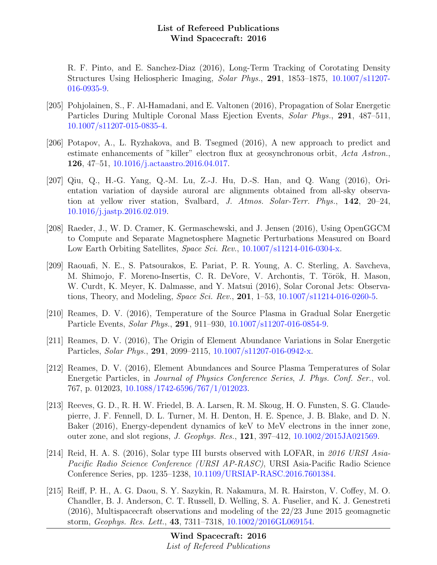R. F. Pinto, and E. Sanchez-Diaz (2016), Long-Term Tracking of Corotating Density Structures Using Heliospheric Imaging, Solar Phys., 291, 1853–1875, [10.1007/s11207-](http://dx.doi.org/10.1007/s11207-016-0935-9) [016-0935-9.](http://dx.doi.org/10.1007/s11207-016-0935-9)

- [205] Pohjolainen, S., F. Al-Hamadani, and E. Valtonen (2016), Propagation of Solar Energetic Particles During Multiple Coronal Mass Ejection Events, Solar Phys., 291, 487–511, [10.1007/s11207-015-0835-4.](http://dx.doi.org/10.1007/s11207-015-0835-4)
- [206] Potapov, A., L. Ryzhakova, and B. Tsegmed (2016), A new approach to predict and estimate enhancements of "killer" electron flux at geosynchronous orbit, Acta Astron., 126, 47–51, [10.1016/j.actaastro.2016.04.017.](http://dx.doi.org/10.1016/j.actaastro.2016.04.017)
- [207] Qiu, Q., H.-G. Yang, Q.-M. Lu, Z.-J. Hu, D.-S. Han, and Q. Wang (2016), Orientation variation of dayside auroral arc alignments obtained from all-sky observation at yellow river station, Svalbard, J. Atmos. Solar-Terr. Phys., 142, 20–24, [10.1016/j.jastp.2016.02.019.](http://dx.doi.org/10.1016/j.jastp.2016.02.019)
- [208] Raeder, J., W. D. Cramer, K. Germaschewski, and J. Jensen (2016), Using OpenGGCM to Compute and Separate Magnetosphere Magnetic Perturbations Measured on Board Low Earth Orbiting Satellites, Space Sci. Rev., [10.1007/s11214-016-0304-x.](http://dx.doi.org/10.1007/s11214-016-0304-x)
- [209] Raouafi, N. E., S. Patsourakos, E. Pariat, P. R. Young, A. C. Sterling, A. Savcheva, M. Shimojo, F. Moreno-Insertis, C. R. DeVore, V. Archontis, T. Török, H. Mason, W. Curdt, K. Meyer, K. Dalmasse, and Y. Matsui (2016), Solar Coronal Jets: Observations, Theory, and Modeling, *Space Sci. Rev.*, **201**, 1–53, [10.1007/s11214-016-0260-5.](http://dx.doi.org/10.1007/s11214-016-0260-5)
- [210] Reames, D. V. (2016), Temperature of the Source Plasma in Gradual Solar Energetic Particle Events, Solar Phys., 291, 911–930, [10.1007/s11207-016-0854-9.](http://dx.doi.org/10.1007/s11207-016-0854-9)
- [211] Reames, D. V. (2016), The Origin of Element Abundance Variations in Solar Energetic Particles, Solar Phys., 291, 2099–2115, [10.1007/s11207-016-0942-x.](http://dx.doi.org/10.1007/s11207-016-0942-x)
- [212] Reames, D. V. (2016), Element Abundances and Source Plasma Temperatures of Solar Energetic Particles, in Journal of Physics Conference Series, J. Phys. Conf. Ser., vol. 767, p. 012023, [10.1088/1742-6596/767/1/012023.](http://dx.doi.org/10.1088/1742-6596/767/1/012023)
- [213] Reeves, G. D., R. H. W. Friedel, B. A. Larsen, R. M. Skoug, H. O. Funsten, S. G. Claudepierre, J. F. Fennell, D. L. Turner, M. H. Denton, H. E. Spence, J. B. Blake, and D. N. Baker (2016), Energy-dependent dynamics of keV to MeV electrons in the inner zone, outer zone, and slot regions, J. Geophys. Res., 121, 397–412, [10.1002/2015JA021569.](http://dx.doi.org/10.1002/2015JA021569)
- [214] Reid, H. A. S. (2016), Solar type III bursts observed with LOFAR, in 2016 URSI Asia-Pacific Radio Science Conference (URSI AP-RASC), URSI Asia-Pacific Radio Science Conference Series, pp. 1235–1238, [10.1109/URSIAP-RASC.2016.7601384.](http://dx.doi.org/10.1109/URSIAP-RASC.2016.7601384)
- [215] Reiff, P. H., A. G. Daou, S. Y. Sazykin, R. Nakamura, M. R. Hairston, V. Coffey, M. O. Chandler, B. J. Anderson, C. T. Russell, D. Welling, S. A. Fuselier, and K. J. Genestreti (2016), Multispacecraft observations and modeling of the 22/23 June 2015 geomagnetic storm, Geophys. Res. Lett., 43, 7311–7318, [10.1002/2016GL069154.](http://dx.doi.org/10.1002/2016GL069154)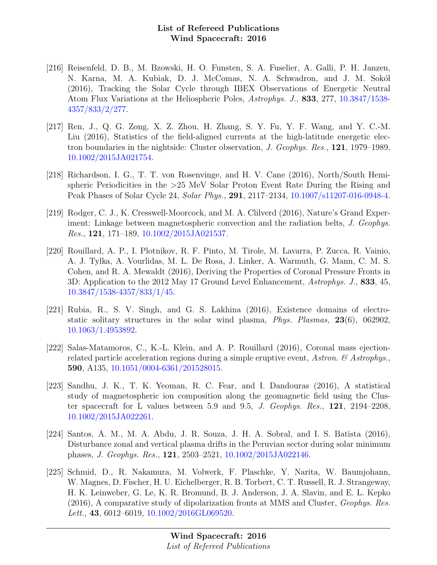- [216] Reisenfeld, D. B., M. Bzowski, H. O. Funsten, S. A. Fuselier, A. Galli, P. H. Janzen, N. Karna, M. A. Kubiak, D. J. McComas, N. A. Schwadron, and J. M. Sokół (2016), Tracking the Solar Cycle through IBEX Observations of Energetic Neutral Atom Flux Variations at the Heliospheric Poles, Astrophys. J., 833, 277, [10.3847/1538-](http://dx.doi.org/10.3847/1538-4357/833/2/277) [4357/833/2/277.](http://dx.doi.org/10.3847/1538-4357/833/2/277)
- [217] Ren, J., Q. G. Zong, X. Z. Zhou, H. Zhang, S. Y. Fu, Y. F. Wang, and Y. C.-M. Liu (2016), Statistics of the field-aligned currents at the high-latitude energetic electron boundaries in the nightside: Cluster observation, J. Geophys. Res., 121, 1979–1989, [10.1002/2015JA021754.](http://dx.doi.org/10.1002/2015JA021754)
- [218] Richardson, I. G., T. T. von Rosenvinge, and H. V. Cane (2016), North/South Hemispheric Periodicities in the >25 MeV Solar Proton Event Rate During the Rising and Peak Phases of Solar Cycle 24, Solar Phys., 291, 2117–2134, [10.1007/s11207-016-0948-4.](http://dx.doi.org/10.1007/s11207-016-0948-4)
- [219] Rodger, C. J., K. Cresswell-Moorcock, and M. A. Clilverd (2016), Nature's Grand Experiment: Linkage between magnetospheric convection and the radiation belts, J. Geophys. Res., 121, 171–189, [10.1002/2015JA021537.](http://dx.doi.org/10.1002/2015JA021537)
- [220] Rouillard, A. P., I. Plotnikov, R. F. Pinto, M. Tirole, M. Lavarra, P. Zucca, R. Vainio, A. J. Tylka, A. Vourlidas, M. L. De Rosa, J. Linker, A. Warmuth, G. Mann, C. M. S. Cohen, and R. A. Mewaldt (2016), Deriving the Properties of Coronal Pressure Fronts in 3D: Application to the 2012 May 17 Ground Level Enhancement, Astrophys. J., 833, 45, [10.3847/1538-4357/833/1/45.](http://dx.doi.org/10.3847/1538-4357/833/1/45)
- [221] Rubia, R., S. V. Singh, and G. S. Lakhina (2016), Existence domains of electrostatic solitary structures in the solar wind plasma, Phys. Plasmas, 23(6), 062902, [10.1063/1.4953892.](http://dx.doi.org/10.1063/1.4953892)
- [222] Salas-Matamoros, C., K.-L. Klein, and A. P. Rouillard (2016), Coronal mass ejectionrelated particle acceleration regions during a simple eruptive event, Astron.  $\mathcal{C}$  Astrophys. 590, A135, [10.1051/0004-6361/201528015.](http://dx.doi.org/10.1051/0004-6361/201528015)
- [223] Sandhu, J. K., T. K. Yeoman, R. C. Fear, and I. Dandouras (2016), A statistical study of magnetospheric ion composition along the geomagnetic field using the Cluster spacecraft for L values between 5.9 and 9.5, J. Geophys. Res., 121, 2194–2208, [10.1002/2015JA022261.](http://dx.doi.org/10.1002/2015JA022261)
- [224] Santos, A. M., M. A. Abdu, J. R. Souza, J. H. A. Sobral, and I. S. Batista (2016), Disturbance zonal and vertical plasma drifts in the Peruvian sector during solar minimum phases, J. Geophys. Res., 121, 2503–2521, [10.1002/2015JA022146.](http://dx.doi.org/10.1002/2015JA022146)
- [225] Schmid, D., R. Nakamura, M. Volwerk, F. Plaschke, Y. Narita, W. Baumjohann, W. Magnes, D. Fischer, H. U. Eichelberger, R. B. Torbert, C. T. Russell, R. J. Strangeway, H. K. Leinweber, G. Le, K. R. Bromund, B. J. Anderson, J. A. Slavin, and E. L. Kepko (2016), A comparative study of dipolarization fronts at MMS and Cluster, Geophys. Res. Lett., 43, 6012–6019, [10.1002/2016GL069520.](http://dx.doi.org/10.1002/2016GL069520)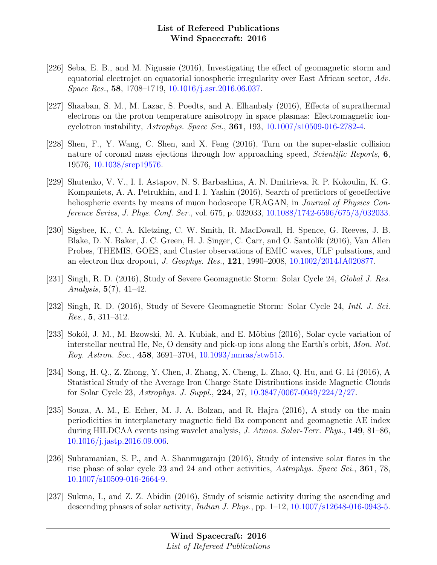- [226] Seba, E. B., and M. Nigussie (2016), Investigating the effect of geomagnetic storm and equatorial electrojet on equatorial ionospheric irregularity over East African sector, Adv. Space Res., 58, 1708–1719, [10.1016/j.asr.2016.06.037.](http://dx.doi.org/10.1016/j.asr.2016.06.037)
- [227] Shaaban, S. M., M. Lazar, S. Poedts, and A. Elhanbaly (2016), Effects of suprathermal electrons on the proton temperature anisotropy in space plasmas: Electromagnetic ioncyclotron instability, Astrophys. Space Sci., 361, 193, [10.1007/s10509-016-2782-4.](http://dx.doi.org/10.1007/s10509-016-2782-4)
- [228] Shen, F., Y. Wang, C. Shen, and X. Feng (2016), Turn on the super-elastic collision nature of coronal mass ejections through low approaching speed, *Scientific Reports*, **6**, 19576, [10.1038/srep19576.](http://dx.doi.org/10.1038/srep19576)
- [229] Shutenko, V. V., I. I. Astapov, N. S. Barbashina, A. N. Dmitrieva, R. P. Kokoulin, K. G. Kompaniets, A. A. Petrukhin, and I. I. Yashin (2016), Search of predictors of geoeffective heliospheric events by means of muon hodoscope URAGAN, in *Journal of Physics Con*ference Series, J. Phys. Conf. Ser., vol. 675, p. 032033, [10.1088/1742-6596/675/3/032033.](http://dx.doi.org/10.1088/1742-6596/675/3/032033)
- [230] Sigsbee, K., C. A. Kletzing, C. W. Smith, R. MacDowall, H. Spence, G. Reeves, J. B. Blake, D. N. Baker, J. C. Green, H. J. Singer, C. Carr, and O. Santolík (2016), Van Allen Probes, THEMIS, GOES, and Cluster observations of EMIC waves, ULF pulsations, and an electron flux dropout, J. Geophys. Res., 121, 1990–2008, [10.1002/2014JA020877.](http://dx.doi.org/10.1002/2014JA020877)
- [231] Singh, R. D. (2016), Study of Severe Geomagnetic Storm: Solar Cycle 24, Global J. Res. Analysis,  $5(7)$ ,  $41-42$ .
- [232] Singh, R. D. (2016), Study of Severe Geomagnetic Storm: Solar Cycle 24, Intl. J. Sci. Res., 5, 311–312.
- [233] Sokół, J. M., M. Bzowski, M. A. Kubiak, and E. Möbius (2016), Solar cycle variation of interstellar neutral He, Ne, O density and pick-up ions along the Earth's orbit, Mon. Not. Roy. Astron. Soc., 458, 3691–3704, [10.1093/mnras/stw515.](http://dx.doi.org/10.1093/mnras/stw515)
- [234] Song, H. Q., Z. Zhong, Y. Chen, J. Zhang, X. Cheng, L. Zhao, Q. Hu, and G. Li (2016), A Statistical Study of the Average Iron Charge State Distributions inside Magnetic Clouds for Solar Cycle 23, Astrophys. J. Suppl., 224, 27, [10.3847/0067-0049/224/2/27.](http://dx.doi.org/10.3847/0067-0049/224/2/27)
- [235] Souza, A. M., E. Echer, M. J. A. Bolzan, and R. Hajra (2016), A study on the main periodicities in interplanetary magnetic field Bz component and geomagnetic AE index during HILDCAA events using wavelet analysis, J. Atmos. Solar-Terr. Phys., 149, 81–86, [10.1016/j.jastp.2016.09.006.](http://dx.doi.org/10.1016/j.jastp.2016.09.006)
- [236] Subramanian, S. P., and A. Shanmugaraju (2016), Study of intensive solar flares in the rise phase of solar cycle 23 and 24 and other activities, Astrophys. Space Sci., 361, 78, [10.1007/s10509-016-2664-9.](http://dx.doi.org/10.1007/s10509-016-2664-9)
- [237] Sukma, I., and Z. Z. Abidin (2016), Study of seismic activity during the ascending and descending phases of solar activity, *Indian J. Phys.*, pp.  $1-12$ ,  $10.1007/s12648-016-0943-5$ .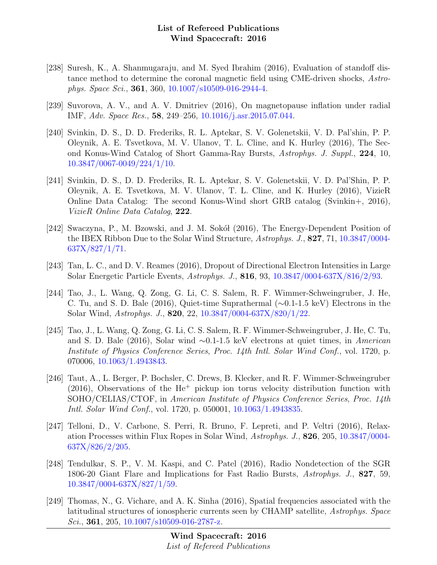- [238] Suresh, K., A. Shanmugaraju, and M. Syed Ibrahim (2016), Evaluation of standoff distance method to determine the coronal magnetic field using CME-driven shocks, Astrophys. Space Sci., 361, 360, [10.1007/s10509-016-2944-4.](http://dx.doi.org/10.1007/s10509-016-2944-4)
- [239] Suvorova, A. V., and A. V. Dmitriev (2016), On magnetopause inflation under radial IMF, Adv. Space Res., 58, 249–256, [10.1016/j.asr.2015.07.044.](http://dx.doi.org/10.1016/j.asr.2015.07.044)
- [240] Svinkin, D. S., D. D. Frederiks, R. L. Aptekar, S. V. Golenetskii, V. D. Pal'shin, P. P. Oleynik, A. E. Tsvetkova, M. V. Ulanov, T. L. Cline, and K. Hurley (2016), The Second Konus-Wind Catalog of Short Gamma-Ray Bursts, Astrophys. J. Suppl., 224, 10, [10.3847/0067-0049/224/1/10.](http://dx.doi.org/10.3847/0067-0049/224/1/10)
- [241] Svinkin, D. S., D. D. Frederiks, R. L. Aptekar, S. V. Golenetskii, V. D. Pal'Shin, P. P. Oleynik, A. E. Tsvetkova, M. V. Ulanov, T. L. Cline, and K. Hurley (2016), VizieR Online Data Catalog: The second Konus-Wind short GRB catalog (Svinkin+, 2016), VizieR Online Data Catalog, 222.
- [242] Swaczyna, P., M. Bzowski, and J. M. Sokół (2016), The Energy-Dependent Position of the IBEX Ribbon Due to the Solar Wind Structure, Astrophys. J., 827, 71, [10.3847/0004-](http://dx.doi.org/10.3847/0004-637X/827/1/71) [637X/827/1/71.](http://dx.doi.org/10.3847/0004-637X/827/1/71)
- [243] Tan, L. C., and D. V. Reames (2016), Dropout of Directional Electron Intensities in Large Solar Energetic Particle Events, Astrophys. J., 816, 93, [10.3847/0004-637X/816/2/93.](http://dx.doi.org/10.3847/0004-637X/816/2/93)
- [244] Tao, J., L. Wang, Q. Zong, G. Li, C. S. Salem, R. F. Wimmer-Schweingruber, J. He, C. Tu, and S. D. Bale (2016), Quiet-time Suprathermal (∼0.1-1.5 keV) Electrons in the Solar Wind, Astrophys. J., 820, 22, [10.3847/0004-637X/820/1/22.](http://dx.doi.org/10.3847/0004-637X/820/1/22)
- [245] Tao, J., L. Wang, Q. Zong, G. Li, C. S. Salem, R. F. Wimmer-Schweingruber, J. He, C. Tu, and S. D. Bale (2016), Solar wind ∼0.1-1.5 keV electrons at quiet times, in American Institute of Physics Conference Series, Proc. 14th Intl. Solar Wind Conf., vol. 1720, p. 070006, [10.1063/1.4943843.](http://dx.doi.org/10.1063/1.4943843)
- [246] Taut, A., L. Berger, P. Bochsler, C. Drews, B. Klecker, and R. F. Wimmer-Schweingruber  $(2016)$ , Observations of the He<sup>+</sup> pickup ion torus velocity distribution function with SOHO/CELIAS/CTOF, in American Institute of Physics Conference Series, Proc. 14th Intl. Solar Wind Conf., vol. 1720, p. 050001, [10.1063/1.4943835.](http://dx.doi.org/10.1063/1.4943835)
- [247] Telloni, D., V. Carbone, S. Perri, R. Bruno, F. Lepreti, and P. Veltri (2016), Relaxation Processes within Flux Ropes in Solar Wind, Astrophys. J., 826, 205, [10.3847/0004-](http://dx.doi.org/10.3847/0004-637X/826/2/205) [637X/826/2/205.](http://dx.doi.org/10.3847/0004-637X/826/2/205)
- [248] Tendulkar, S. P., V. M. Kaspi, and C. Patel (2016), Radio Nondetection of the SGR 1806-20 Giant Flare and Implications for Fast Radio Bursts, Astrophys. J., 827, 59, [10.3847/0004-637X/827/1/59.](http://dx.doi.org/10.3847/0004-637X/827/1/59)
- [249] Thomas, N., G. Vichare, and A. K. Sinha (2016), Spatial frequencies associated with the latitudinal structures of ionospheric currents seen by CHAMP satellite, Astrophys. Space Sci., 361, 205,  $10.1007 \mid s10509 - 016 - 2787 - z$ .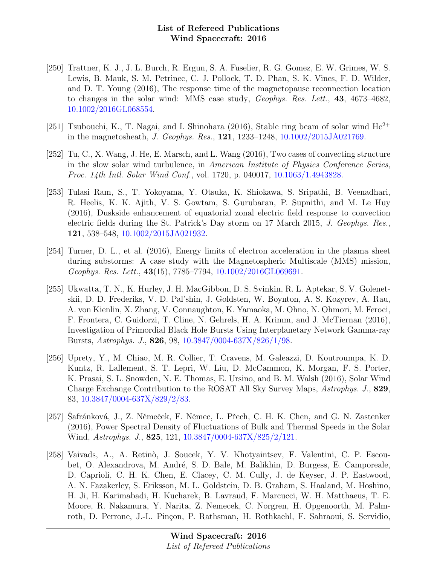- [250] Trattner, K. J., J. L. Burch, R. Ergun, S. A. Fuselier, R. G. Gomez, E. W. Grimes, W. S. Lewis, B. Mauk, S. M. Petrinec, C. J. Pollock, T. D. Phan, S. K. Vines, F. D. Wilder, and D. T. Young (2016), The response time of the magnetopause reconnection location to changes in the solar wind: MMS case study, Geophys. Res. Lett., 43, 4673–4682, [10.1002/2016GL068554.](http://dx.doi.org/10.1002/2016GL068554)
- [251] Tsubouchi, K., T. Nagai, and I. Shinohara (2016), Stable ring beam of solar wind  $He^{2+}$ in the magnetosheath, J. Geophys. Res., 121, 1233–1248, [10.1002/2015JA021769.](http://dx.doi.org/10.1002/2015JA021769)
- [252] Tu, C., X. Wang, J. He, E. Marsch, and L. Wang (2016), Two cases of convecting structure in the slow solar wind turbulence, in American Institute of Physics Conference Series, Proc. 14th Intl. Solar Wind Conf., vol. 1720, p. 040017, [10.1063/1.4943828.](http://dx.doi.org/10.1063/1.4943828)
- [253] Tulasi Ram, S., T. Yokoyama, Y. Otsuka, K. Shiokawa, S. Sripathi, B. Veenadhari, R. Heelis, K. K. Ajith, V. S. Gowtam, S. Gurubaran, P. Supnithi, and M. Le Huy (2016), Duskside enhancement of equatorial zonal electric field response to convection electric fields during the St. Patrick's Day storm on 17 March 2015, J. Geophys. Res., 121, 538–548, [10.1002/2015JA021932.](http://dx.doi.org/10.1002/2015JA021932)
- [254] Turner, D. L., et al. (2016), Energy limits of electron acceleration in the plasma sheet during substorms: A case study with the Magnetospheric Multiscale (MMS) mission, Geophys. Res. Lett., 43(15), 7785–7794, [10.1002/2016GL069691.](http://dx.doi.org/10.1002/2016GL069691)
- [255] Ukwatta, T. N., K. Hurley, J. H. MacGibbon, D. S. Svinkin, R. L. Aptekar, S. V. Golenetskii, D. D. Frederiks, V. D. Pal'shin, J. Goldsten, W. Boynton, A. S. Kozyrev, A. Rau, A. von Kienlin, X. Zhang, V. Connaughton, K. Yamaoka, M. Ohno, N. Ohmori, M. Feroci, F. Frontera, C. Guidorzi, T. Cline, N. Gehrels, H. A. Krimm, and J. McTiernan (2016), Investigation of Primordial Black Hole Bursts Using Interplanetary Network Gamma-ray Bursts, Astrophys. J., 826, 98, [10.3847/0004-637X/826/1/98.](http://dx.doi.org/10.3847/0004-637X/826/1/98)
- [256] Uprety, Y., M. Chiao, M. R. Collier, T. Cravens, M. Galeazzi, D. Koutroumpa, K. D. Kuntz, R. Lallement, S. T. Lepri, W. Liu, D. McCammon, K. Morgan, F. S. Porter, K. Prasai, S. L. Snowden, N. E. Thomas, E. Ursino, and B. M. Walsh (2016), Solar Wind Charge Exchange Contribution to the ROSAT All Sky Survey Maps, Astrophys. J., 829, 83, [10.3847/0004-637X/829/2/83.](http://dx.doi.org/10.3847/0004-637X/829/2/83)
- [257] Safránková, J., Z. Němeček, F. Němec, L. Přech, C. H. K. Chen, and G. N. Zastenker (2016), Power Spectral Density of Fluctuations of Bulk and Thermal Speeds in the Solar Wind, Astrophys. J., 825, 121, [10.3847/0004-637X/825/2/121.](http://dx.doi.org/10.3847/0004-637X/825/2/121)
- [258] Vaivads, A., A. Retinò, J. Soucek, Y. V. Khotyaintsev, F. Valentini, C. P. Escoubet, O. Alexandrova, M. André, S. D. Bale, M. Balikhin, D. Burgess, E. Camporeale, D. Caprioli, C. H. K. Chen, E. Clacey, C. M. Cully, J. de Keyser, J. P. Eastwood, A. N. Fazakerley, S. Eriksson, M. L. Goldstein, D. B. Graham, S. Haaland, M. Hoshino, H. Ji, H. Karimabadi, H. Kucharek, B. Lavraud, F. Marcucci, W. H. Matthaeus, T. E. Moore, R. Nakamura, Y. Narita, Z. Nemecek, C. Norgren, H. Opgenoorth, M. Palmroth, D. Perrone, J.-L. Pinçon, P. Rathsman, H. Rothkaehl, F. Sahraoui, S. Servidio,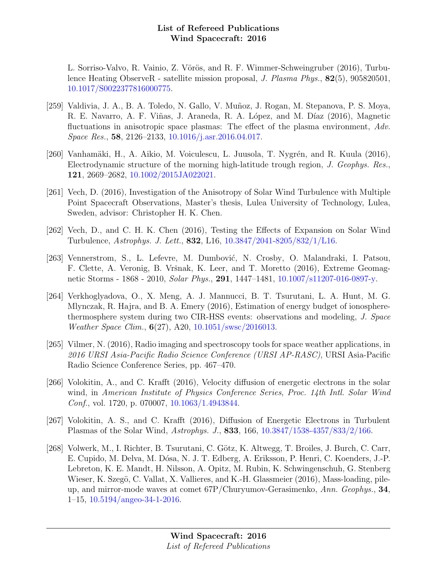L. Sorriso-Valvo, R. Vainio, Z. Vörös, and R. F. Wimmer-Schweingruber (2016), Turbulence Heating ObserveR - satellite mission proposal, J. Plasma Phys., 82(5), 905820501, [10.1017/S0022377816000775.](http://dx.doi.org/10.1017/S0022377816000775)

- [259] Valdivia, J. A., B. A. Toledo, N. Gallo, V. Muñoz, J. Rogan, M. Stepanova, P. S. Moya, R. E. Navarro, A. F. Viñas, J. Araneda, R. A. López, and M. Díaz (2016), Magnetic fluctuations in anisotropic space plasmas: The effect of the plasma environment, Adv. Space Res., 58, 2126–2133, [10.1016/j.asr.2016.04.017.](http://dx.doi.org/10.1016/j.asr.2016.04.017)
- [260] Vanhamäki, H., A. Aikio, M. Voiculescu, L. Juusola, T. Nygrén, and R. Kuula (2016), Electrodynamic structure of the morning high-latitude trough region, J. Geophys. Res., 121, 2669–2682, [10.1002/2015JA022021.](http://dx.doi.org/10.1002/2015JA022021)
- [261] Vech, D. (2016), Investigation of the Anisotropy of Solar Wind Turbulence with Multiple Point Spacecraft Observations, Master's thesis, Lulea University of Technology, Lulea, Sweden, advisor: Christopher H. K. Chen.
- [262] Vech, D., and C. H. K. Chen (2016), Testing the Effects of Expansion on Solar Wind Turbulence, Astrophys. J. Lett., 832, L16, [10.3847/2041-8205/832/1/L16.](http://dx.doi.org/10.3847/2041-8205/832/1/L16)
- [263] Vennerstrom, S., L. Lefevre, M. Dumbović, N. Crosby, O. Malandraki, I. Patsou, F. Clette, A. Veronig, B. Vršnak, K. Leer, and T. Moretto (2016), Extreme Geomagnetic Storms - 1868 - 2010, Solar Phys., 291, 1447–1481, [10.1007/s11207-016-0897-y.](http://dx.doi.org/10.1007/s11207-016-0897-y)
- [264] Verkhoglyadova, O., X. Meng, A. J. Mannucci, B. T. Tsurutani, L. A. Hunt, M. G. Mlynczak, R. Hajra, and B. A. Emery (2016), Estimation of energy budget of ionospherethermosphere system during two CIR-HSS events: observations and modeling, J. Space Weather Space Clim., 6(27), A20, [10.1051/swsc/2016013.](http://dx.doi.org/10.1051/swsc/2016013)
- [265] Vilmer, N. (2016), Radio imaging and spectroscopy tools for space weather applications, in 2016 URSI Asia-Pacific Radio Science Conference (URSI AP-RASC), URSI Asia-Pacific Radio Science Conference Series, pp. 467–470.
- [266] Volokitin, A., and C. Krafft (2016), Velocity diffusion of energetic electrons in the solar wind, in American Institute of Physics Conference Series, Proc. 14th Intl. Solar Wind Conf., vol. 1720, p. 070007, [10.1063/1.4943844.](http://dx.doi.org/10.1063/1.4943844)
- [267] Volokitin, A. S., and C. Krafft (2016), Diffusion of Energetic Electrons in Turbulent Plasmas of the Solar Wind, Astrophys. J., 833, 166, [10.3847/1538-4357/833/2/166.](http://dx.doi.org/10.3847/1538-4357/833/2/166)
- [268] Volwerk, M., I. Richter, B. Tsurutani, C. Götz, K. Altwegg, T. Broiles, J. Burch, C. Carr, E. Cupido, M. Delva, M. Dósa, N. J. T. Edberg, A. Eriksson, P. Henri, C. Koenders, J.-P. Lebreton, K. E. Mandt, H. Nilsson, A. Opitz, M. Rubin, K. Schwingenschuh, G. Stenberg Wieser, K. Szegö, C. Vallat, X. Vallieres, and K.-H. Glassmeier (2016), Mass-loading, pileup, and mirror-mode waves at comet 67P/Churyumov-Gerasimenko, Ann. Geophys., 34, 1–15, [10.5194/angeo-34-1-2016.](http://dx.doi.org/10.5194/angeo-34-1-2016)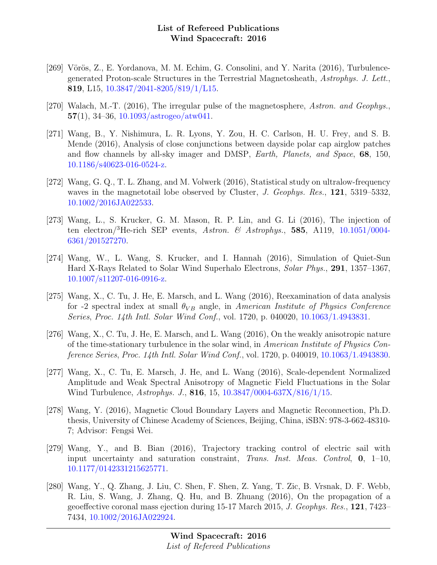- [269] Vörös, Z., E. Yordanova, M. M. Echim, G. Consolini, and Y. Narita (2016), Turbulencegenerated Proton-scale Structures in the Terrestrial Magnetosheath, Astrophys. J. Lett., 819, L15, [10.3847/2041-8205/819/1/L15.](http://dx.doi.org/10.3847/2041-8205/819/1/L15)
- [270] Walach, M.-T. (2016), The irregular pulse of the magnetosphere, Astron. and Geophys.,  $57(1)$ , 34–36, [10.1093/astrogeo/atw041.](http://dx.doi.org/10.1093/astrogeo/atw041)
- [271] Wang, B., Y. Nishimura, L. R. Lyons, Y. Zou, H. C. Carlson, H. U. Frey, and S. B. Mende (2016), Analysis of close conjunctions between dayside polar cap airglow patches and flow channels by all-sky imager and DMSP, Earth, Planets, and Space, 68, 150, [10.1186/s40623-016-0524-z.](http://dx.doi.org/10.1186/s40623-016-0524-z)
- [272] Wang, G. Q., T. L. Zhang, and M. Volwerk (2016), Statistical study on ultralow-frequency waves in the magnetotail lobe observed by Cluster, J. Geophys. Res., 121, 5319–5332, [10.1002/2016JA022533.](http://dx.doi.org/10.1002/2016JA022533)
- [273] Wang, L., S. Krucker, G. M. Mason, R. P. Lin, and G. Li (2016), The injection of ten electron/<sup>3</sup>He-rich SEP events, Astron. & Astrophys., 585, A119, [10.1051/0004-](http://dx.doi.org/10.1051/0004-6361/201527270) [6361/201527270.](http://dx.doi.org/10.1051/0004-6361/201527270)
- [274] Wang, W., L. Wang, S. Krucker, and I. Hannah (2016), Simulation of Quiet-Sun Hard X-Rays Related to Solar Wind Superhalo Electrons, Solar Phys., 291, 1357–1367, [10.1007/s11207-016-0916-z.](http://dx.doi.org/10.1007/s11207-016-0916-z)
- [275] Wang, X., C. Tu, J. He, E. Marsch, and L. Wang (2016), Reexamination of data analysis for -2 spectral index at small  $\theta_{VB}$  angle, in American Institute of Physics Conference Series, Proc. 14th Intl. Solar Wind Conf., vol. 1720, p. 040020, [10.1063/1.4943831.](http://dx.doi.org/10.1063/1.4943831)
- [276] Wang, X., C. Tu, J. He, E. Marsch, and L. Wang (2016), On the weakly anisotropic nature of the time-stationary turbulence in the solar wind, in American Institute of Physics Conference Series, Proc. 14th Intl. Solar Wind Conf., vol. 1720, p. 040019, [10.1063/1.4943830.](http://dx.doi.org/10.1063/1.4943830)
- [277] Wang, X., C. Tu, E. Marsch, J. He, and L. Wang (2016), Scale-dependent Normalized Amplitude and Weak Spectral Anisotropy of Magnetic Field Fluctuations in the Solar Wind Turbulence, *Astrophys. J.*, **816**, 15, [10.3847/0004-637X/816/1/15.](http://dx.doi.org/10.3847/0004-637X/816/1/15)
- [278] Wang, Y. (2016), Magnetic Cloud Boundary Layers and Magnetic Reconnection, Ph.D. thesis, University of Chinese Academy of Sciences, Beijing, China, iSBN: 978-3-662-48310- 7; Advisor: Fengsi Wei.
- [279] Wang, Y., and B. Bian (2016), Trajectory tracking control of electric sail with input uncertainty and saturation constraint, Trans. Inst. Meas. Control, 0, 1–10, [10.1177/0142331215625771.](http://dx.doi.org/10.1177/0142331215625771)
- [280] Wang, Y., Q. Zhang, J. Liu, C. Shen, F. Shen, Z. Yang, T. Zic, B. Vrsnak, D. F. Webb, R. Liu, S. Wang, J. Zhang, Q. Hu, and B. Zhuang (2016), On the propagation of a geoeffective coronal mass ejection during 15-17 March 2015, J. Geophys. Res., 121, 7423– 7434, [10.1002/2016JA022924.](http://dx.doi.org/10.1002/2016JA022924)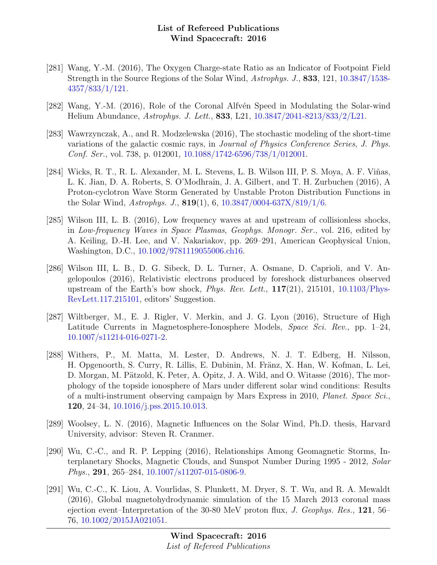- [281] Wang, Y.-M. (2016), The Oxygen Charge-state Ratio as an Indicator of Footpoint Field Strength in the Source Regions of the Solar Wind, Astrophys. J., 833, 121, [10.3847/1538-](http://dx.doi.org/10.3847/1538-4357/833/1/121) [4357/833/1/121.](http://dx.doi.org/10.3847/1538-4357/833/1/121)
- [282] Wang, Y.-M. (2016), Role of the Coronal Alfvén Speed in Modulating the Solar-wind Helium Abundance, Astrophys. J. Lett., 833, L21, [10.3847/2041-8213/833/2/L21.](http://dx.doi.org/10.3847/2041-8213/833/2/L21)
- [283] Wawrzynczak, A., and R. Modzelewska (2016), The stochastic modeling of the short-time variations of the galactic cosmic rays, in Journal of Physics Conference Series, J. Phys. Conf. Ser., vol. 738, p. 012001, [10.1088/1742-6596/738/1/012001.](http://dx.doi.org/10.1088/1742-6596/738/1/012001)
- [284] Wicks, R. T., R. L. Alexander, M. L. Stevens, L. B. Wilson III, P. S. Moya, A. F. Viñas, L. K. Jian, D. A. Roberts, S. O'Modhrain, J. A. Gilbert, and T. H. Zurbuchen (2016), A Proton-cyclotron Wave Storm Generated by Unstable Proton Distribution Functions in the Solar Wind, Astrophys. J., 819(1), 6, [10.3847/0004-637X/819/1/6.](http://dx.doi.org/10.3847/0004-637X/819/1/6)
- [285] Wilson III, L. B. (2016), Low frequency waves at and upstream of collisionless shocks, in Low-frequency Waves in Space Plasmas, Geophys. Monogr. Ser., vol. 216, edited by A. Keiling, D.-H. Lee, and V. Nakariakov, pp. 269–291, American Geophysical Union, Washington, D.C., [10.1002/9781119055006.ch16.](http://dx.doi.org/10.1002/9781119055006.ch16)
- [286] Wilson III, L. B., D. G. Sibeck, D. L. Turner, A. Osmane, D. Caprioli, and V. Angelopoulos (2016), Relativistic electrons produced by foreshock disturbances observed upstream of the Earth's bow shock, *Phys. Rev. Lett.*,  $117(21)$ ,  $215101$ ,  $10.1103/Phys-$ [RevLett.117.215101,](http://dx.doi.org/10.1103/PhysRevLett.117.215101) editors' Suggestion.
- [287] Wiltberger, M., E. J. Rigler, V. Merkin, and J. G. Lyon (2016), Structure of High Latitude Currents in Magnetosphere-Ionosphere Models, Space Sci. Rev., pp. 1–24, [10.1007/s11214-016-0271-2.](http://dx.doi.org/10.1007/s11214-016-0271-2)
- [288] Withers, P., M. Matta, M. Lester, D. Andrews, N. J. T. Edberg, H. Nilsson, H. Opgenoorth, S. Curry, R. Lillis, E. Dubinin, M. Fränz, X. Han, W. Kofman, L. Lei, D. Morgan, M. Pätzold, K. Peter, A. Opitz, J. A. Wild, and O. Witasse (2016), The morphology of the topside ionosphere of Mars under different solar wind conditions: Results of a multi-instrument observing campaign by Mars Express in 2010, Planet. Space Sci., 120, 24–34, [10.1016/j.pss.2015.10.013.](http://dx.doi.org/10.1016/j.pss.2015.10.013)
- [289] Woolsey, L. N. (2016), Magnetic Influences on the Solar Wind, Ph.D. thesis, Harvard University, advisor: Steven R. Cranmer.
- [290] Wu, C.-C., and R. P. Lepping (2016), Relationships Among Geomagnetic Storms, Interplanetary Shocks, Magnetic Clouds, and Sunspot Number During 1995 - 2012, Solar Phys., 291, 265–284, [10.1007/s11207-015-0806-9.](http://dx.doi.org/10.1007/s11207-015-0806-9)
- [291] Wu, C.-C., K. Liou, A. Vourlidas, S. Plunkett, M. Dryer, S. T. Wu, and R. A. Mewaldt (2016), Global magnetohydrodynamic simulation of the 15 March 2013 coronal mass ejection event–Interpretation of the 30-80 MeV proton flux, J. Geophys. Res., 121, 56– 76, [10.1002/2015JA021051.](http://dx.doi.org/10.1002/2015JA021051)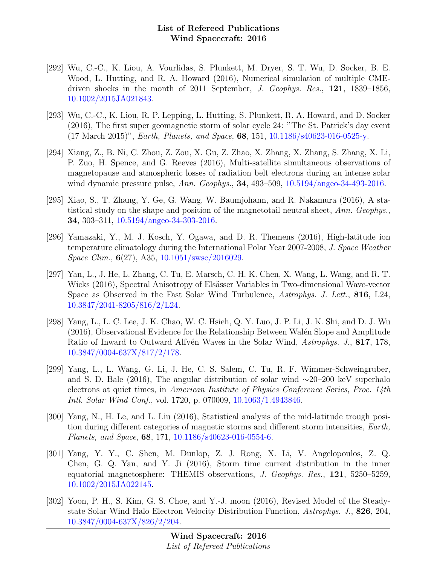- [292] Wu, C.-C., K. Liou, A. Vourlidas, S. Plunkett, M. Dryer, S. T. Wu, D. Socker, B. E. Wood, L. Hutting, and R. A. Howard (2016), Numerical simulation of multiple CMEdriven shocks in the month of 2011 September, J. Geophys. Res., 121, 1839–1856, [10.1002/2015JA021843.](http://dx.doi.org/10.1002/2015JA021843)
- [293] Wu, C.-C., K. Liou, R. P. Lepping, L. Hutting, S. Plunkett, R. A. Howard, and D. Socker (2016), The first super geomagnetic storm of solar cycle 24: "The St. Patrick's day event (17 March 2015)", Earth, Planets, and Space, 68, 151, [10.1186/s40623-016-0525-y.](http://dx.doi.org/10.1186/s40623-016-0525-y)
- [294] Xiang, Z., B. Ni, C. Zhou, Z. Zou, X. Gu, Z. Zhao, X. Zhang, X. Zhang, S. Zhang, X. Li, P. Zuo, H. Spence, and G. Reeves (2016), Multi-satellite simultaneous observations of magnetopause and atmospheric losses of radiation belt electrons during an intense solar wind dynamic pressure pulse, Ann. Geophys., 34, 493–509, [10.5194/angeo-34-493-2016.](http://dx.doi.org/10.5194/angeo-34-493-2016)
- [295] Xiao, S., T. Zhang, Y. Ge, G. Wang, W. Baumjohann, and R. Nakamura (2016), A statistical study on the shape and position of the magnetotail neutral sheet, Ann. Geophys., 34, 303–311, [10.5194/angeo-34-303-2016.](http://dx.doi.org/10.5194/angeo-34-303-2016)
- [296] Yamazaki, Y., M. J. Kosch, Y. Ogawa, and D. R. Themens (2016), High-latitude ion temperature climatology during the International Polar Year 2007-2008, J. Space Weather Space Clim., 6(27), A35, [10.1051/swsc/2016029.](http://dx.doi.org/10.1051/swsc/2016029)
- [297] Yan, L., J. He, L. Zhang, C. Tu, E. Marsch, C. H. K. Chen, X. Wang, L. Wang, and R. T. Wicks (2016), Spectral Anisotropy of Elsässer Variables in Two-dimensional Wave-vector Space as Observed in the Fast Solar Wind Turbulence, Astrophys. J. Lett., 816, L24, [10.3847/2041-8205/816/2/L24.](http://dx.doi.org/10.3847/2041-8205/816/2/L24)
- [298] Yang, L., L. C. Lee, J. K. Chao, W. C. Hsieh, Q. Y. Luo, J. P. Li, J. K. Shi, and D. J. Wu  $(2016)$ , Observational Evidence for the Relationship Between Walén Slope and Amplitude Ratio of Inward to Outward Alfvén Waves in the Solar Wind, Astrophys. J., 817, 178, [10.3847/0004-637X/817/2/178.](http://dx.doi.org/10.3847/0004-637X/817/2/178)
- [299] Yang, L., L. Wang, G. Li, J. He, C. S. Salem, C. Tu, R. F. Wimmer-Schweingruber, and S. D. Bale (2016), The angular distribution of solar wind ∼20–200 keV superhalo electrons at quiet times, in American Institute of Physics Conference Series, Proc. 14th Intl. Solar Wind Conf., vol. 1720, p. 070009, [10.1063/1.4943846.](http://dx.doi.org/10.1063/1.4943846)
- [300] Yang, N., H. Le, and L. Liu (2016), Statistical analysis of the mid-latitude trough position during different categories of magnetic storms and different storm intensities, Earth, Planets, and Space, 68, 171, [10.1186/s40623-016-0554-6.](http://dx.doi.org/10.1186/s40623-016-0554-6)
- [301] Yang, Y. Y., C. Shen, M. Dunlop, Z. J. Rong, X. Li, V. Angelopoulos, Z. Q. Chen, G. Q. Yan, and Y. Ji (2016), Storm time current distribution in the inner equatorial magnetosphere: THEMIS observations, J. Geophys. Res., 121, 5250–5259, [10.1002/2015JA022145.](http://dx.doi.org/10.1002/2015JA022145)
- [302] Yoon, P. H., S. Kim, G. S. Choe, and Y.-J. moon (2016), Revised Model of the Steadystate Solar Wind Halo Electron Velocity Distribution Function, Astrophys. J., 826, 204, [10.3847/0004-637X/826/2/204.](http://dx.doi.org/10.3847/0004-637X/826/2/204)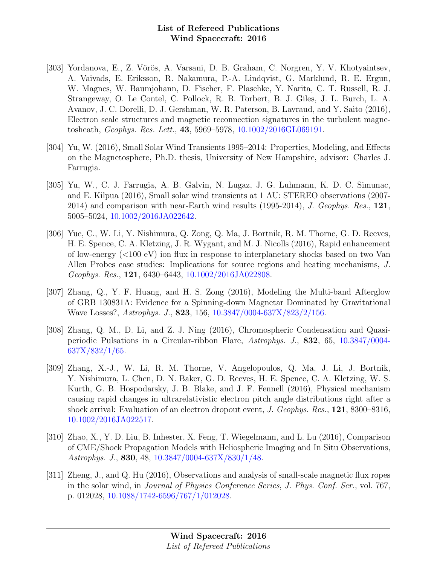- [303] Yordanova, E., Z. Vörös, A. Varsani, D. B. Graham, C. Norgren, Y. V. Khotyaintsev, A. Vaivads, E. Eriksson, R. Nakamura, P.-A. Lindqvist, G. Marklund, R. E. Ergun, W. Magnes, W. Baumjohann, D. Fischer, F. Plaschke, Y. Narita, C. T. Russell, R. J. Strangeway, O. Le Contel, C. Pollock, R. B. Torbert, B. J. Giles, J. L. Burch, L. A. Avanov, J. C. Dorelli, D. J. Gershman, W. R. Paterson, B. Lavraud, and Y. Saito (2016), Electron scale structures and magnetic reconnection signatures in the turbulent magnetosheath, Geophys. Res. Lett., 43, 5969–5978, [10.1002/2016GL069191.](http://dx.doi.org/10.1002/2016GL069191)
- [304] Yu, W. (2016), Small Solar Wind Transients 1995–2014: Properties, Modeling, and Effects on the Magnetosphere, Ph.D. thesis, University of New Hampshire, advisor: Charles J. Farrugia.
- [305] Yu, W., C. J. Farrugia, A. B. Galvin, N. Lugaz, J. G. Luhmann, K. D. C. Simunac, and E. Kilpua (2016), Small solar wind transients at 1 AU: STEREO observations (2007- 2014) and comparison with near-Earth wind results  $(1995-2014)$ , J. Geophys. Res., 121, 5005–5024, [10.1002/2016JA022642.](http://dx.doi.org/10.1002/2016JA022642)
- [306] Yue, C., W. Li, Y. Nishimura, Q. Zong, Q. Ma, J. Bortnik, R. M. Thorne, G. D. Reeves, H. E. Spence, C. A. Kletzing, J. R. Wygant, and M. J. Nicolls (2016), Rapid enhancement of low-energy  $(<100 \text{ eV})$  ion flux in response to interplanetary shocks based on two Van Allen Probes case studies: Implications for source regions and heating mechanisms, J. Geophys. Res., 121, 6430–6443, [10.1002/2016JA022808.](http://dx.doi.org/10.1002/2016JA022808)
- [307] Zhang, Q., Y. F. Huang, and H. S. Zong (2016), Modeling the Multi-band Afterglow of GRB 130831A: Evidence for a Spinning-down Magnetar Dominated by Gravitational Wave Losses?, Astrophys. J., 823, 156, [10.3847/0004-637X/823/2/156.](http://dx.doi.org/10.3847/0004-637X/823/2/156)
- [308] Zhang, Q. M., D. Li, and Z. J. Ning (2016), Chromospheric Condensation and Quasiperiodic Pulsations in a Circular-ribbon Flare, Astrophys. J., 832, 65, [10.3847/0004-](http://dx.doi.org/10.3847/0004-637X/832/1/65) [637X/832/1/65.](http://dx.doi.org/10.3847/0004-637X/832/1/65)
- [309] Zhang, X.-J., W. Li, R. M. Thorne, V. Angelopoulos, Q. Ma, J. Li, J. Bortnik, Y. Nishimura, L. Chen, D. N. Baker, G. D. Reeves, H. E. Spence, C. A. Kletzing, W. S. Kurth, G. B. Hospodarsky, J. B. Blake, and J. F. Fennell (2016), Physical mechanism causing rapid changes in ultrarelativistic electron pitch angle distributions right after a shock arrival: Evaluation of an electron dropout event, J. Geophys. Res., 121, 8300–8316, [10.1002/2016JA022517.](http://dx.doi.org/10.1002/2016JA022517)
- [310] Zhao, X., Y. D. Liu, B. Inhester, X. Feng, T. Wiegelmann, and L. Lu (2016), Comparison of CME/Shock Propagation Models with Heliospheric Imaging and In Situ Observations, Astrophys. J., 830, 48, [10.3847/0004-637X/830/1/48.](http://dx.doi.org/10.3847/0004-637X/830/1/48)
- [311] Zheng, J., and Q. Hu (2016), Observations and analysis of small-scale magnetic flux ropes in the solar wind, in Journal of Physics Conference Series, J. Phys. Conf. Ser., vol. 767, p. 012028, [10.1088/1742-6596/767/1/012028.](http://dx.doi.org/10.1088/1742-6596/767/1/012028)